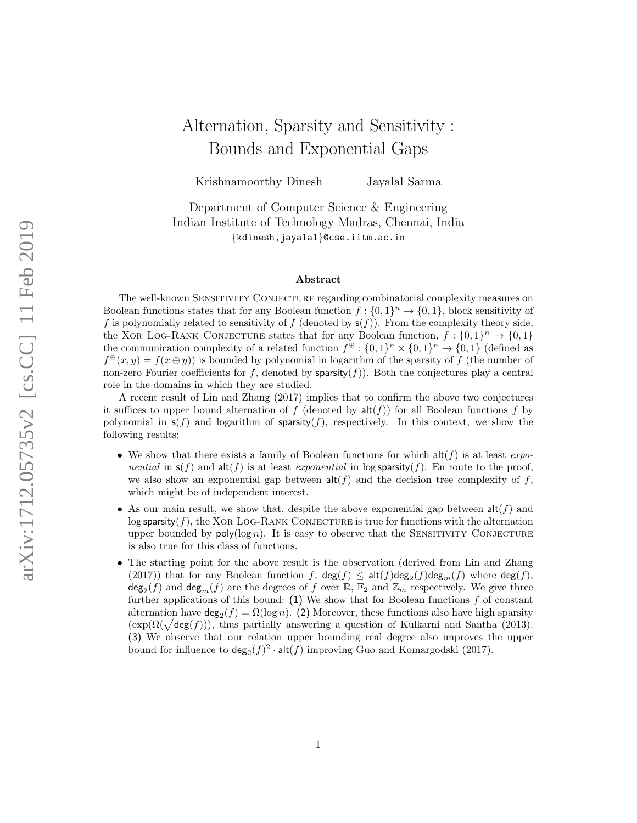# Alternation, Sparsity and Sensitivity : Bounds and Exponential Gaps

Krishnamoorthy Dinesh Jayalal Sarma

Department of Computer Science & Engineering Indian Institute of Technology Madras, Chennai, India {kdinesh,jayalal}@cse.iitm.ac.in

#### Abstract

The well-known Sensitivity Conjecture regarding combinatorial complexity measures on Boolean functions states that for any Boolean function  $f: \{0,1\}^n \to \{0,1\}$ , block sensitivity of f is polynomially related to sensitivity of f (denoted by  $s(f)$ ). From the complexity theory side, the XOR LOG-RANK CONJECTURE states that for any Boolean function,  $f: \{0,1\}^n \to \{0,1\}$ the communication complexity of a related function  $f^{\oplus} : \{0,1\}^n \times \{0,1\}^n \to \{0,1\}$  (defined as  $f^{\oplus}(x,y) = f(x \oplus y)$  is bounded by polynomial in logarithm of the sparsity of f (the number of non-zero Fourier coefficients for f, denoted by  $\text{sparsity}(f)$ ). Both the conjectures play a central role in the domains in which they are studied.

A recent result of Lin and Zhang (2017) implies that to confirm the above two conjectures it suffices to upper bound alternation of f (denoted by  $\text{alt}(f)$ ) for all Boolean functions f by polynomial in  $s(f)$  and logarithm of sparsity(f), respectively. In this context, we show the following results:

- We show that there exists a family of Boolean functions for which  $\text{alt}(f)$  is at least  $\exp$ nential in  $s(f)$  and  $\text{alt}(f)$  is at least exponential in log sparsity $(f)$ . En route to the proof, we also show an exponential gap between  $\text{alt}(f)$  and the decision tree complexity of f, which might be of independent interest.
- As our main result, we show that, despite the above exponential gap between  $\text{alt}(f)$  and  $\log$  sparsity(f), the XOR LOG-RANK CONJECTURE is true for functions with the alternation upper bounded by  $poly(log n)$ . It is easy to observe that the SENSITIVITY CONJECTURE is also true for this class of functions.
- The starting point for the above result is the observation (derived from Lin and Zhang (2017)) that for any Boolean function f,  $\deg(f) \leq \text{alt}(f)\deg_2(f)\deg_m(f)$  where  $\deg(f)$ ,  $deg_2(f)$  and  $deg_m(f)$  are the degrees of f over  $\mathbb{R}$ ,  $\mathbb{F}_2$  and  $\mathbb{Z}_m$  respectively. We give three further applications of this bound:  $(1)$  We show that for Boolean functions f of constant alternation have  $\deg_2(f) = \Omega(\log n)$ . (2) Moreover, these functions also have high sparsity  $(\exp(\Omega(\sqrt{\deg(f)}))$ , thus partially answering a question of Kulkarni and Santha (2013). (3) We observe that our relation upper bounding real degree also improves the upper bound for influence to  $\deg_2(f)^2 \cdot \text{alt}(f)$  improving Guo and Komargodski (2017).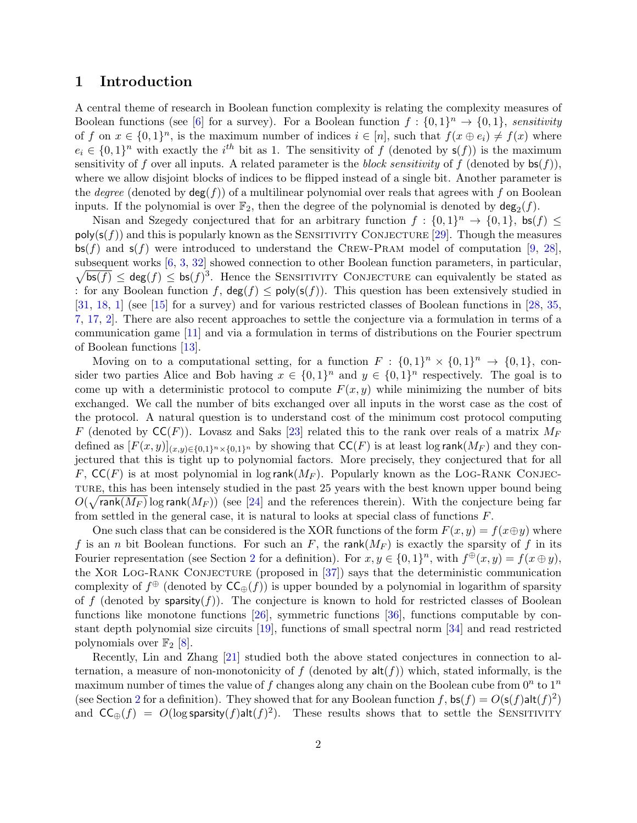## 1 Introduction

A central theme of research in Boolean function complexity is relating the complexity measures of Boolean functions (see [\[6\]](#page-15-0) for a survey). For a Boolean function  $f: \{0,1\}^n \to \{0,1\}$ , sensitivity of f on  $x \in \{0,1\}^n$ , is the maximum number of indices  $i \in [n]$ , such that  $f(x \oplus e_i) \neq f(x)$  where  $e_i \in \{0,1\}^n$  with exactly the i<sup>th</sup> bit as 1. The sensitivity of f (denoted by  $s(f)$ ) is the maximum sensitivity of f over all inputs. A related parameter is the block sensitivity of f (denoted by  $bs(f)$ ), where we allow disjoint blocks of indices to be flipped instead of a single bit. Another parameter is the *degree* (denoted by  $deg(f)$ ) of a multilinear polynomial over reals that agrees with f on Boolean inputs. If the polynomial is over  $\mathbb{F}_2$ , then the degree of the polynomial is denoted by  $\deg_2(f)$ .

Nisan and Szegedy conjectured that for an arbitrary function  $f: \{0,1\}^n \to \{0,1\}$ , bs(f)  $\leq$  $poly(s(f))$  and this is popularly known as the SENSITIVITY CONJECTURE [\[29\]](#page-16-0). Though the measures  $\mathsf{bs}(f)$  and  $\mathsf{s}(f)$  were introduced to understand the CREW-PRAM model of computation [\[9,](#page-15-1) [28\]](#page-16-1), subsequent works [[6,](#page-15-0) [3,](#page-15-2) [32\]](#page-17-0) showed connection to other Boolean function parameters, in particular,  $\sqrt{\mathsf{bs}(f)} \leq \mathsf{deg}(f) \leq \mathsf{bs}(f)^3$ . Hence the SENSITIVITY CONJECTURE can equivalently be stated as : for any Boolean function f,  $deg(f) \leq poly(s(f))$ . This question has been extensively studied in [\[31,](#page-16-2) [18,](#page-16-3) [1\]](#page-14-0) (see [\[15\]](#page-15-3) for a survey) and for various restricted classes of Boolean functions in [\[28,](#page-16-1) [35,](#page-17-1) [7,](#page-15-4) [17,](#page-16-4) [2\]](#page-15-5). There are also recent approaches to settle the conjecture via a formulation in terms of a communication game [\[11\]](#page-15-6) and via a formulation in terms of distributions on the Fourier spectrum of Boolean functions [\[13\]](#page-15-7).

Moving on to a computational setting, for a function  $F: \{0,1\}^n \times \{0,1\}^n \rightarrow \{0,1\}$ , consider two parties Alice and Bob having  $x \in \{0,1\}^n$  and  $y \in \{0,1\}^n$  respectively. The goal is to come up with a deterministic protocol to compute  $F(x, y)$  while minimizing the number of bits exchanged. We call the number of bits exchanged over all inputs in the worst case as the cost of the protocol. A natural question is to understand cost of the minimum cost protocol computing F (denoted by  $\mathsf{CC}(F)$ ). Lovasz and Saks [\[23\]](#page-16-5) related this to the rank over reals of a matrix  $M_F$ defined as  $[F(x,y)]_{(x,y)\in\{0,1\}^n\times\{0,1\}^n}$  by showing that  $\mathsf{CC}(F)$  is at least log rank $(M_F)$  and they conjectured that this is tight up to polynomial factors. More precisely, they conjectured that for all F,  $\mathsf{CC}(F)$  is at most polynomial in log rank $(M_F)$ . Popularly known as the LOG-RANK CONJECture, this has been intensely studied in the past 25 years with the best known upper bound being  $O(\sqrt{\text{rank}(M_F)}\log\text{rank}(M_F))$  (see [\[24\]](#page-16-6) and the references therein). With the conjecture being far from settled in the general case, it is natural to looks at special class of functions F.

One such class that can be considered is the XOR functions of the form  $F(x, y) = f(x \oplus y)$  where f is an n bit Boolean functions. For such an F, the rank( $M_F$ ) is exactly the sparsity of f in its Fourier representation (see Section [2](#page-3-0) for a definition). For  $x, y \in \{0, 1\}^n$ , with  $f^{\oplus}(x, y) = f(x \oplus y)$ , the XOR LOG-RANK CONJECTURE (proposed in  $[37]$ ) says that the deterministic communication complexity of  $f^{\oplus}$  (denoted by  $\mathsf{CC}_{\oplus}(f)$ ) is upper bounded by a polynomial in logarithm of sparsity of f (denoted by sparsity $(f)$ ). The conjecture is known to hold for restricted classes of Boolean functions like monotone functions [\[26\]](#page-16-7), symmetric functions [\[36\]](#page-17-3), functions computable by constant depth polynomial size circuits [\[19\]](#page-16-8), functions of small spectral norm [\[34\]](#page-17-4) and read restricted polynomials over  $\mathbb{F}_2$  [\[8\]](#page-15-8).

Recently, Lin and Zhang [\[21\]](#page-16-9) studied both the above stated conjectures in connection to alternation, a measure of non-monotonicity of f (denoted by  $\text{alt}(f)$ ) which, stated informally, is the maximum number of times the value of f changes along any chain on the Boolean cube from  $0^n$  to  $1^n$ (see Section [2](#page-3-0) for a definition). They showed that for any Boolean function f,  $bs(f) = O(s(f)alt(f)^2)$ and  $CC_{\oplus}(f) = O(\log \text{sparsity}(f) \text{alt}(f)^2)$ . These results shows that to settle the SENSITIVITY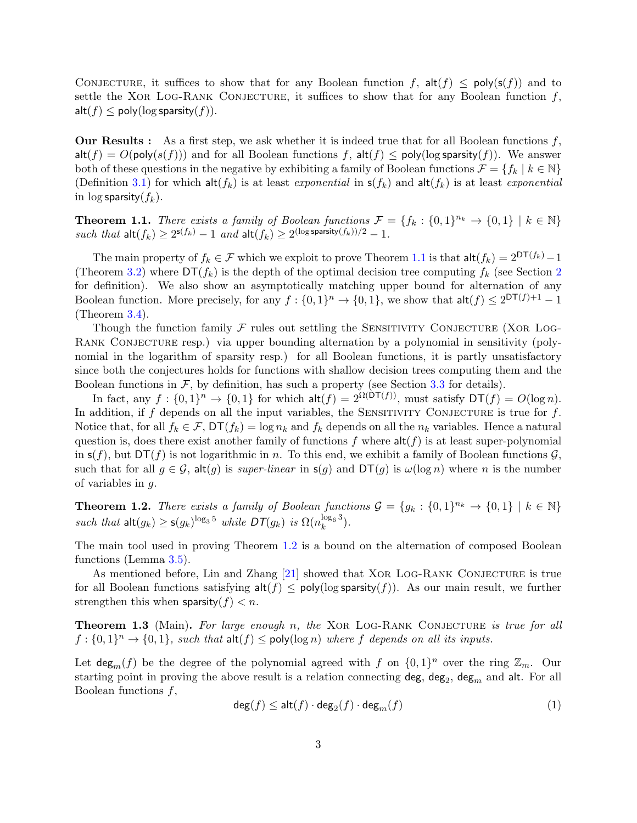CONJECTURE, it suffices to show that for any Boolean function f,  $\text{alt}(f) \le \text{poly}(s(f))$  and to settle the XOR LOG-RANK CONJECTURE, it suffices to show that for any Boolean function  $f$ ,  $\mathsf{alt}(f) \le \mathsf{poly}(\log \mathsf{sparsity}(f)).$ 

**Our Results :** As a first step, we ask whether it is indeed true that for all Boolean functions  $f$ ,  $\mathsf{alt}(f) = O(\mathsf{poly}(s(f)))$  and for all Boolean functions f,  $\mathsf{alt}(f) \le \mathsf{poly}(\log \mathsf{sparsity}(f))$ . We answer both of these questions in the negative by exhibiting a family of Boolean functions  $\mathcal{F} = \{f_k \mid k \in \mathbb{N}\}\$ (Definition [3.1\)](#page-5-0) for which  $\mathsf{alt}(f_k)$  is at least *exponential* in  $\mathsf{s}(f_k)$  and  $\mathsf{alt}(f_k)$  is at least *exponential* in  $\log$  sparsity $(f_k)$ .

<span id="page-2-0"></span>**Theorem 1.1.** There exists a family of Boolean functions  $\mathcal{F} = \{f_k : \{0,1\}^{n_k} \to \{0,1\} \mid k \in \mathbb{N}\}\$ such that  $\mathsf{alt}(f_k) \geq 2^{\mathsf{s}(f_k)} - 1$  and  $\mathsf{alt}(f_k) \geq 2^{(\log \mathsf{sparsity}(f_k))/2} - 1$ .

The main property of  $f_k \in \mathcal{F}$  which we exploit to prove Theorem [1.1](#page-2-0) is that  $\mathsf{alt}(f_k) = 2^{\mathsf{DT}(f_k)} - 1$ (Theorem [3.2\)](#page-5-1) where  $DT(f_k)$  is the depth of the optimal decision tree computing  $f_k$  (see Section [2](#page-3-0)) for definition). We also show an asymptotically matching upper bound for alternation of any Boolean function. More precisely, for any  $f: \{0,1\}^n \to \{0,1\}$ , we show that  $\mathsf{alt}(f) \leq 2^{\mathsf{DT}(f)+1} - 1$ (Theorem [3.4\)](#page-7-0).

Though the function family  $\mathcal F$  rules out settling the SENSITIVITY CONJECTURE (XOR LOG-RANK CONJECTURE resp.) via upper bounding alternation by a polynomial in sensitivity (polynomial in the logarithm of sparsity resp.) for all Boolean functions, it is partly unsatisfactory since both the conjectures holds for functions with shallow decision trees computing them and the Boolean functions in  $\mathcal{F}$ , by definition, has such a property (see Section [3.3](#page-7-1) for details).

In fact, any  $f: \{0,1\}^n \to \{0,1\}$  for which  $\mathsf{alt}(f) = 2^{\Omega(\mathsf{DT}(f))}$ , must satisfy  $\mathsf{DT}(f) = O(\log n)$ . In addition, if  $f$  depends on all the input variables, the SENSITIVITY CONJECTURE is true for  $f$ . Notice that, for all  $f_k \in \mathcal{F}$ ,  $DT(f_k) = \log n_k$  and  $f_k$  depends on all the  $n_k$  variables. Hence a natural question is, does there exist another family of functions  $f$  where  $\text{alt}(f)$  is at least super-polynomial in  $s(f)$ , but  $DT(f)$  is not logarithmic in n. To this end, we exhibit a family of Boolean functions  $\mathcal G$ . such that for all  $g \in \mathcal{G}$ , alt $(g)$  is super-linear in  $s(g)$  and  $DT(g)$  is  $\omega(\log n)$  where n is the number of variables in g.

<span id="page-2-1"></span>**Theorem 1.2.** There exists a family of Boolean functions  $\mathcal{G} = \{g_k : \{0,1\}^{n_k} \to \{0,1\} \mid k \in \mathbb{N}\}\$ such that  $\mathsf{alt}(g_k) \ge \mathsf{s}(g_k)^{\log_3 5}$  while  $\mathsf{DT}(g_k)$  is  $\Omega(n_k^{\log_6 3})$ .

The main tool used in proving Theorem [1.2](#page-2-1) is a bound on the alternation of composed Boolean functions (Lemma [3.5\)](#page-8-0).

As mentioned before, Lin and Zhang [\[21\]](#page-16-9) showed that XOR LOG-RANK CONJECTURE is true for all Boolean functions satisfying  $\mathsf{alt}(f) \le \mathsf{poly}(\log \mathsf{sparsity}(f))$ . As our main result, we further strengthen this when sparsity $(f) < n$ .

<span id="page-2-3"></span>**Theorem 1.3** (Main). For large enough n, the XOR LOG-RANK CONJECTURE is true for all  $f: \{0,1\}^n \to \{0,1\}$ , such that  $\mathsf{alt}(f) \le \mathsf{poly}(\log n)$  where f depends on all its inputs.

Let  $\deg_m(f)$  be the degree of the polynomial agreed with f on  $\{0,1\}^n$  over the ring  $\mathbb{Z}_m$ . Our starting point in proving the above result is a relation connecting  $\deg$ ,  $\deg_2$ ,  $\deg_m$  and  $\textsf{alt.}$  For all Boolean functions  $f$ ,

<span id="page-2-2"></span>
$$
\deg(f) \le \mathsf{alt}(f) \cdot \deg_2(f) \cdot \deg_m(f) \tag{1}
$$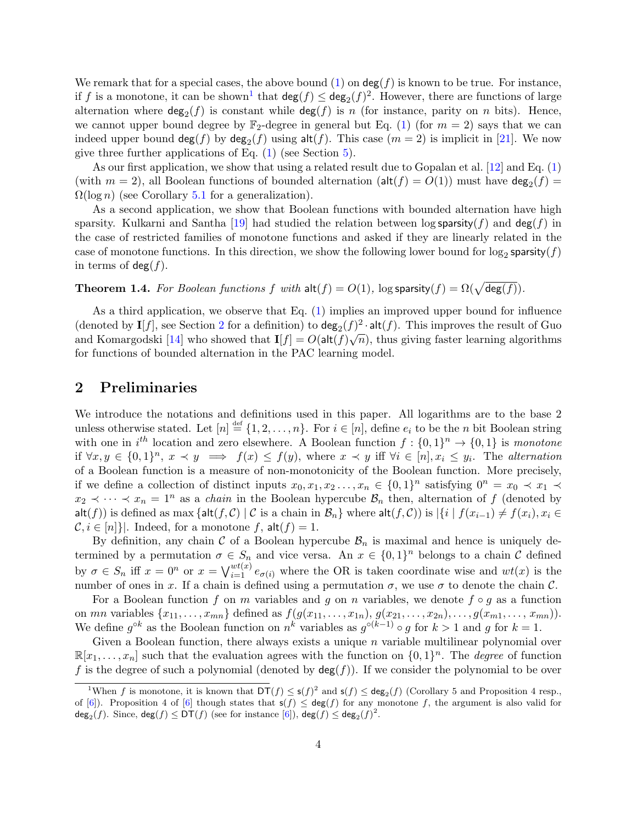We remark that for a special cases, the above bound  $(1)$  on  $\deg(f)$  is known to be true. For instance, if f is a monotone, it can be shown<sup>[1](#page-3-1)</sup> that  $\deg(f) \leq \deg_2(f)^2$ . However, there are functions of large alternation where  $\deg_2(f)$  is constant while  $\deg(f)$  is n (for instance, parity on n bits). Hence, we cannot upper bound degree by  $\mathbb{F}_2$ -degree in general but Eq. [\(1\)](#page-2-2) (for  $m = 2$ ) says that we can indeed upper bound  $\deg(f)$  by  $\deg_2(f)$  using  $\text{alt}(f)$ . This case  $(m = 2)$  is implicit in [\[21\]](#page-16-9). We now give three further applications of Eq. [\(1\)](#page-2-2) (see Section [5\)](#page-12-0).

As our first application, we show that using a related result due to Gopalan et al. [\[12\]](#page-15-9) and Eq. [\(1\)](#page-2-2) (with  $m = 2$ ), all Boolean functions of bounded alternation ( $\text{alt}(f) = O(1)$ ) must have  $\text{deg}_2(f) =$  $\Omega(\log n)$  (see Corollary [5.1](#page-12-1) for a generalization).

As a second application, we show that Boolean functions with bounded alternation have high sparsity. Kulkarni and Santha [\[19\]](#page-16-8) had studied the relation between log sparsity(f) and deg(f) in the case of restricted families of monotone functions and asked if they are linearly related in the case of monotone functions. In this direction, we show the following lower bound for  $\log_2$  sparsity $(f)$ in terms of  $deg(f)$ .

<span id="page-3-2"></span>**Theorem 1.4.** For Boolean functions f with  $\text{alt}(f) = O(1)$ ,  $\log$  sparsity $(f) = \Omega(\sqrt{\deg(f)})$ .

As a third application, we observe that Eq. [\(1\)](#page-2-2) implies an improved upper bound for influence (denoted by  $I[f]$ , see Section [2](#page-3-0) for a definition) to  $\deg_2(f)^2 \cdot \text{alt}(f)$ . This improves the result of Guo and Komargodski [\[14\]](#page-15-10) who showed that  $I[f] = O(\mathsf{alt}(f)\sqrt{n})$ , thus giving faster learning algorithms for functions of bounded alternation in the PAC learning model.

## <span id="page-3-0"></span>2 Preliminaries

We introduce the notations and definitions used in this paper. All logarithms are to the base 2 unless otherwise stated. Let  $[n] \stackrel{\text{def}}{=} \{1, 2, \ldots, n\}$ . For  $i \in [n]$ , define  $e_i$  to be the n bit Boolean string with one in  $i^{th}$  location and zero elsewhere. A Boolean function  $f: \{0,1\}^n \to \{0,1\}$  is monotone if  $\forall x, y \in \{0,1\}^n$ ,  $x \prec y \implies f(x) \leq f(y)$ , where  $x \prec y$  iff  $\forall i \in [n], x_i \leq y_i$ . The alternation of a Boolean function is a measure of non-monotonicity of the Boolean function. More precisely, if we define a collection of distinct inputs  $x_0, x_1, x_2 \ldots, x_n \in \{0,1\}^n$  satisfying  $0^n = x_0 \prec x_1 \prec$  $x_2 \prec \cdots \prec x_n = 1^n$  as a *chain* in the Boolean hypercube  $\mathcal{B}_n$  then, alternation of f (denoted by alt(f)) is defined as max {alt(f, C) | C is a chain in  $\mathcal{B}_n$ } where alt(f, C)) is  $|\{i \mid f(x_{i-1}) \neq f(x_i), x_i \in$  $\mathcal{C}, i \in [n]\}.$  Indeed, for a monotone f,  $\mathsf{alt}(f) = 1$ .

By definition, any chain C of a Boolean hypercube  $\mathcal{B}_n$  is maximal and hence is uniquely determined by a permutation  $\sigma \in S_n$  and vice versa. An  $x \in \{0,1\}^n$  belongs to a chain C defined by  $\sigma \in S_n$  iff  $x = 0^n$  or  $x = \bigvee_{i=1}^{wt(x)} e_{\sigma(i)}$  where the OR is taken coordinate wise and  $wt(x)$  is the number of ones in x. If a chain is defined using a permutation  $\sigma$ , we use  $\sigma$  to denote the chain C.

For a Boolean function f on m variables and g on n variables, we denote  $f \circ g$  as a function on mn variables  $\{x_{11}, \ldots, x_{mn}\}$  defined as  $f(g(x_{11}, \ldots, x_{1n}), g(x_{21}, \ldots, x_{2n}), \ldots, g(x_{m1}, \ldots, x_{mn}))$ . We define  $g^{\circ k}$  as the Boolean function on  $n^k$  variables as  $g^{\circ (k-1)} \circ g$  for  $k > 1$  and g for  $k = 1$ .

Given a Boolean function, there always exists a unique  $n$  variable multilinear polynomial over  $\mathbb{R}[x_1,\ldots,x_n]$  such that the evaluation agrees with the function on  $\{0,1\}^n$ . The *degree* of function f is the degree of such a polynomial (denoted by  $deg(f)$ ). If we consider the polynomial to be over

<span id="page-3-1"></span><sup>&</sup>lt;sup>1</sup>When f is monotone, it is known that  $DT(f) \leq s(f)^2$  and  $s(f) \leq deg_2(f)$  (Corollary 5 and Proposition 4 resp., of [\[6\]](#page-15-0)). Proposition 4 of [6] though states that  $s(f) \leq deg(f)$  for any monotone f, the argument is also valid for  $\mathsf{deg}_2(f)$ . Since,  $\mathsf{deg}(f) \le \mathsf{DT}(f)$  (see for instance  $[6]$ ),  $\mathsf{deg}(f) \le \mathsf{deg}_2(f)^2$ .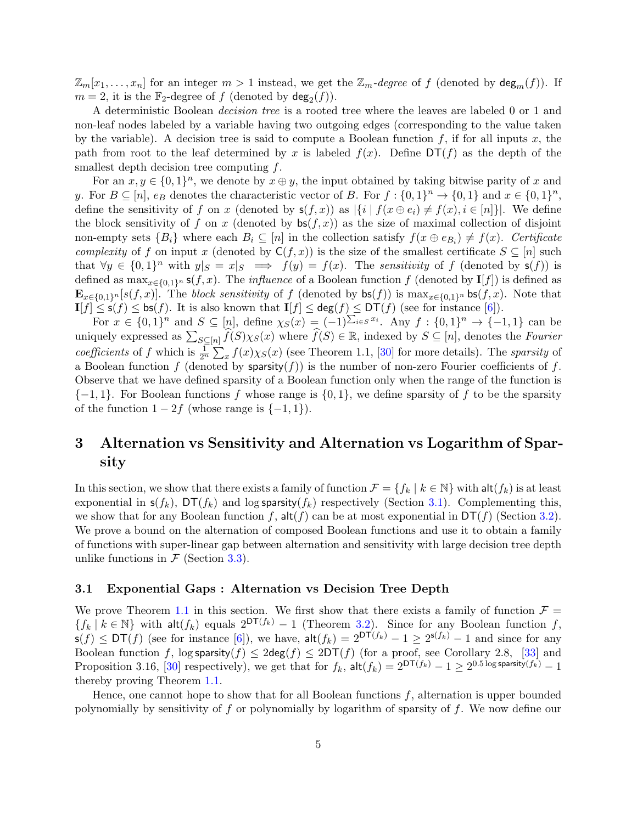$\mathbb{Z}_m[x_1,\ldots,x_n]$  for an integer  $m>1$  instead, we get the  $\mathbb{Z}_m$ -degree of f (denoted by  $\deg_m(f)$ ). If  $m = 2$ , it is the  $\mathbb{F}_2$ -degree of f (denoted by  $\deg_2(f)$ ).

A deterministic Boolean decision tree is a rooted tree where the leaves are labeled 0 or 1 and non-leaf nodes labeled by a variable having two outgoing edges (corresponding to the value taken by the variable). A decision tree is said to compute a Boolean function  $f$ , if for all inputs x, the path from root to the leaf determined by x is labeled  $f(x)$ . Define  $DT(f)$  as the depth of the smallest depth decision tree computing f.

For an  $x, y \in \{0, 1\}^n$ , we denote by  $x \oplus y$ , the input obtained by taking bitwise parity of x and y. For  $B \subseteq [n]$ ,  $e_B$  denotes the characteristic vector of B. For  $f: \{0,1\}^n \to \{0,1\}$  and  $x \in \{0,1\}^n$ , define the sensitivity of f on x (denoted by  $s(f, x)$ ) as  $\{i | f(x \oplus e_i) \neq f(x), i \in [n]\}\$ . We define the block sensitivity of f on x (denoted by  $\mathsf{bs}(f,x)$ ) as the size of maximal collection of disjoint non-empty sets  ${B_i}$  where each  $B_i \subseteq [n]$  in the collection satisfy  $f(x \oplus e_{B_i}) \neq f(x)$ . Certificate complexity of f on input x (denoted by  $C(f, x)$ ) is the size of the smallest certificate  $S \subseteq [n]$  such that  $\forall y \in \{0,1\}^n$  with  $y|_{S} = x|_{S} \implies f(y) = f(x)$ . The sensitivity of f (denoted by  $s(f)$ ) is defined as  $\max_{x \in \{0,1\}^n} s(f,x)$ . The *influence* of a Boolean function f (denoted by **I**[f]) is defined as  $\mathbf{E}_{x\in\{0,1\}^n}[s(f,x)]$ . The block sensitivity of f (denoted by  $\mathsf{bs}(f)$ ) is  $\max_{x\in\{0,1\}^n} \mathsf{bs}(f,x)$ . Note that  $\mathbf{I}[f] \leq \mathsf{s}(f) \leq \mathsf{bs}(f)$ . It is also known that  $\mathbf{I}[f] \leq \deg(f) \leq \mathsf{DT}(f)$  (see for instance [\[6\]](#page-15-0)).

For  $x \in \{0,1\}^n$  and  $S \subseteq [n]$ , define  $\chi_S(x) = (-1)^{\sum_{i \in S} x_i}$ . Any  $f : \{0,1\}^n \to \{-1,1\}$  can be uniquely expressed as  $\sum_{S \subseteq [n]} \widehat{f}(S) \chi_S(x)$  where  $\widehat{f}(S) \in \mathbb{R}$ , indexed by  $S \subseteq [n]$ , denotes the Fourier coefficients of f which is  $\frac{1}{2^n} \sum_x f(x) \chi_S(x)$  (see Theorem 1.1, [\[30\]](#page-16-10) for more details). The sparsity of a Boolean function f (denoted by sparsity $(f)$ ) is the number of non-zero Fourier coefficients of f. Observe that we have defined sparsity of a Boolean function only when the range of the function is  $\{-1, 1\}$ . For Boolean functions f whose range is  $\{0, 1\}$ , we define sparsity of f to be the sparsity of the function  $1 - 2f$  (whose range is  $\{-1, 1\}$ ).

## 3 Alternation vs Sensitivity and Alternation vs Logarithm of Sparsity

In this section, we show that there exists a family of function  $\mathcal{F} = \{f_k \mid k \in \mathbb{N}\}\$  with  $\mathsf{alt}(f_k)$  is at least exponential in  $s(f_k)$ ,  $DT(f_k)$  and log sparsity $(f_k)$  respectively (Section [3.1\)](#page-4-0). Complementing this, we show that for any Boolean function f,  $\text{alt}(f)$  can be at most exponential in  $DT(f)$  (Section [3.2\)](#page-6-0). We prove a bound on the alternation of composed Boolean functions and use it to obtain a family of functions with super-linear gap between alternation and sensitivity with large decision tree depth unlike functions in  $\mathcal F$  (Section [3.3\)](#page-7-1).

#### <span id="page-4-0"></span>3.1 Exponential Gaps : Alternation vs Decision Tree Depth

We prove Theorem [1.1](#page-2-0) in this section. We first show that there exists a family of function  $\mathcal{F} =$  ${f_k | k \in \mathbb{N}}$  with alt $(f_k)$  equals  $2^{DT(f_k)} - 1$  (Theorem [3.2\)](#page-5-1). Since for any Boolean function f,  $\mathsf{s}(f) \le \mathsf{DT}(f)$  (see for instance [\[6\]](#page-15-0)), we have,  $\mathsf{alt}(f_k) = 2^{\mathsf{DT}(f_k)} - 1 \ge 2^{\mathsf{s}(f_k)} - 1$  and since for any Boolean function f, log sparsity $(f) \leq 2\deg(f) \leq 2DT(f)$  (for a proof, see Corollary 2.8, [\[33\]](#page-17-5) and Proposition 3.16, [\[30\]](#page-16-10) respectively), we get that for  $f_k$ ,  $\mathsf{alt}(f_k) = 2^{\mathsf{DT}(f_k)} - 1 \ge 2^{0.5 \log \mathsf{sparsity}(f_k)} - 1$ thereby proving Theorem [1.1.](#page-2-0)

Hence, one cannot hope to show that for all Boolean functions  $f$ , alternation is upper bounded polynomially by sensitivity of f or polynomially by logarithm of sparsity of f. We now define our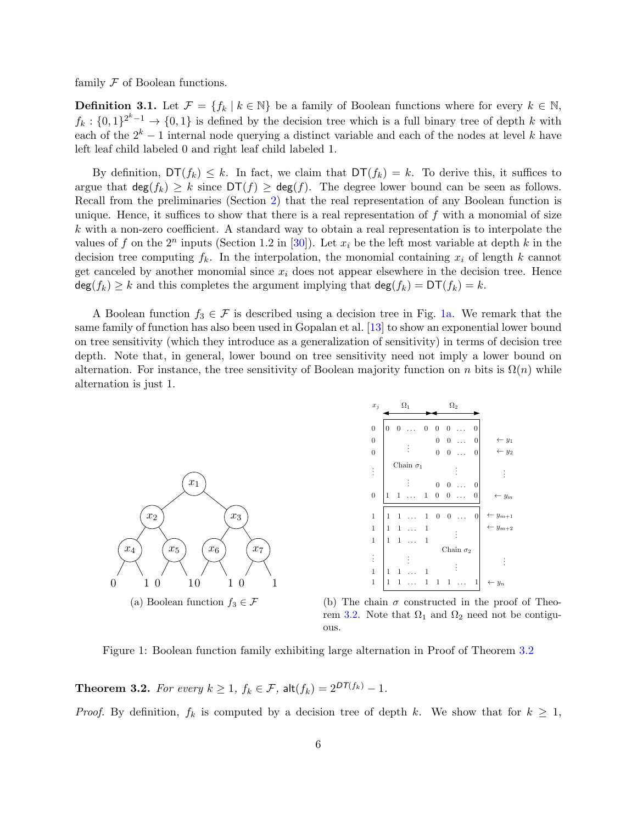<span id="page-5-0"></span>family  ${\mathcal F}$  of Boolean functions.

**Definition 3.1.** Let  $\mathcal{F} = \{f_k \mid k \in \mathbb{N}\}\$ be a family of Boolean functions where for every  $k \in \mathbb{N}$ ,  $f_k: \{0,1\}^{2^k-1} \to \{0,1\}$  is defined by the decision tree which is a full binary tree of depth k with each of the  $2^k - 1$  internal node querying a distinct variable and each of the nodes at level k have left leaf child labeled 0 and right leaf child labeled 1.

By definition,  $DT(f_k) \leq k$ . In fact, we claim that  $DT(f_k) = k$ . To derive this, it suffices to argue that  $\deg(f_k) \geq k$  since  $DT(f) \geq \deg(f)$ . The degree lower bound can be seen as follows. Recall from the preliminaries (Section [2\)](#page-3-0) that the real representation of any Boolean function is unique. Hence, it suffices to show that there is a real representation of  $f$  with a monomial of size k with a non-zero coefficient. A standard way to obtain a real representation is to interpolate the values of f on the  $2^n$  inputs (Section 1.2 in [\[30\]](#page-16-10)). Let  $x_i$  be the left most variable at depth k in the decision tree computing  $f_k$ . In the interpolation, the monomial containing  $x_i$  of length k cannot get canceled by another monomial since  $x_i$  does not appear elsewhere in the decision tree. Hence  $deg(f_k) \geq k$  and this completes the argument implying that  $deg(f_k) = DT(f_k) = k$ .

A Boolean function  $f_3 \in \mathcal{F}$  is described using a decision tree in Fig. [1a.](#page-5-2) We remark that the same family of function has also been used in Gopalan et al. [\[13\]](#page-15-7) to show an exponential lower bound on tree sensitivity (which they introduce as a generalization of sensitivity) in terms of decision tree depth. Note that, in general, lower bound on tree sensitivity need not imply a lower bound on alternation. For instance, the tree sensitivity of Boolean majority function on n bits is  $\Omega(n)$  while alternation is just 1.

<span id="page-5-2"></span>

| $x_j$            | $\Omega_1$                       |          | $\Omega_2$       |                  |                  |           |                  |                             |
|------------------|----------------------------------|----------|------------------|------------------|------------------|-----------|------------------|-----------------------------|
| $\overline{0}$   | $\overline{0}$<br>$\overline{0}$ |          | $\boldsymbol{0}$ | $\mathbf{0}$     | $\overline{0}$   |           | 0                |                             |
| $\boldsymbol{0}$ |                                  |          |                  | $\mathbf{0}$     | $\boldsymbol{0}$ | $\ddotsc$ | $\boldsymbol{0}$ | $\leftarrow y_1$            |
| $\boldsymbol{0}$ |                                  |          |                  | $\overline{0}$   | $\mathbf{0}$     | .         | 0                | $\leftarrow y_2$            |
| $\vdots$         | Chain $\sigma_1$                 |          |                  |                  |                  |           |                  |                             |
|                  |                                  |          |                  | $\overline{0}$   | $\boldsymbol{0}$ |           | $\boldsymbol{0}$ |                             |
| $\boldsymbol{0}$ | $\mathbf 1$<br>1                 | $\cdots$ | 1                | $\boldsymbol{0}$ | $\boldsymbol{0}$ | .         | 0                | $\leftarrow$ y <sub>m</sub> |
|                  |                                  |          |                  |                  |                  |           |                  |                             |
| $\mathbf{1}$     | 1<br>1                           |          | 1                | $\mathbf{0}$     | $\boldsymbol{0}$ | Ω,        | $\vert 0 \vert$  | $\leftarrow y_{m+1}$        |
| $\mathbf{1}$     | 1<br>1                           |          | 1                |                  |                  |           |                  | $\leftarrow$ $y_{m+2}$      |
| $\,1$            | $\mathbf{1}$<br>$\mathbf{1}$     |          | 1                |                  |                  |           |                  |                             |
|                  | Chain $\sigma_2$                 |          |                  |                  |                  |           |                  |                             |
| $\vdots$         |                                  |          |                  |                  |                  |           |                  |                             |
| $\mathbf{1}$     | 1<br>1                           |          | 1                |                  |                  |           |                  |                             |
| $\mathbf{1}$     | 1<br>1                           |          | 1                | 1                | 1                |           | 1                | $\leftarrow$ $y_n$          |

(b) The chain  $\sigma$  constructed in the proof of Theo-rem [3.2.](#page-5-1) Note that  $\Omega_1$  and  $\Omega_2$  need not be contiguous.

Figure 1: Boolean function family exhibiting large alternation in Proof of Theorem [3.2](#page-5-1)

<span id="page-5-1"></span>**Theorem 3.2.** For every  $k \geq 1$ ,  $f_k \in \mathcal{F}$ ,  $\text{alt}(f_k) = 2^{DT(f_k)} - 1$ .

*Proof.* By definition,  $f_k$  is computed by a decision tree of depth k. We show that for  $k \geq 1$ ,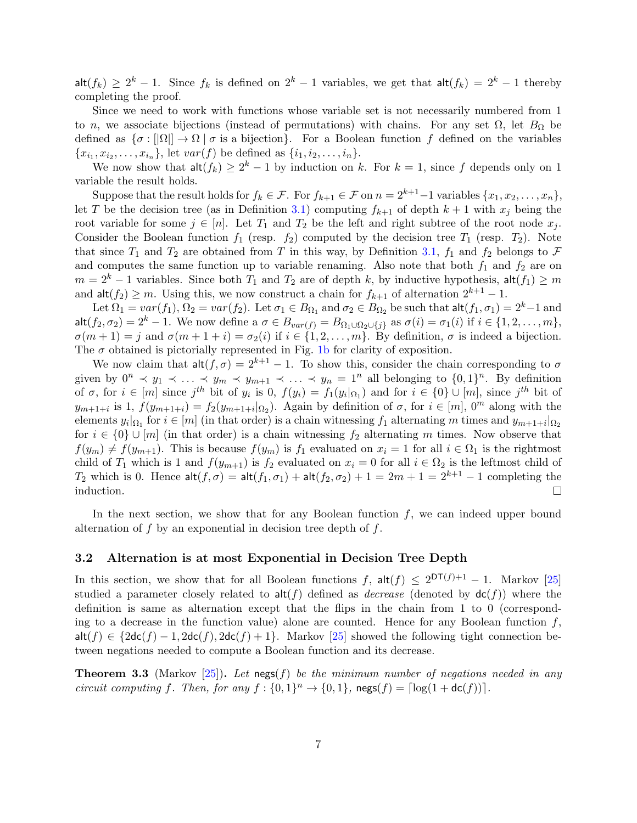$\mathsf{alt}(f_k) \geq 2^k - 1$ . Since  $f_k$  is defined on  $2^k - 1$  variables, we get that  $\mathsf{alt}(f_k) = 2^k - 1$  thereby completing the proof.

Since we need to work with functions whose variable set is not necessarily numbered from 1 to n, we associate bijections (instead of permutations) with chains. For any set  $\Omega$ , let  $B_{\Omega}$  be defined as  $\{\sigma: [|\Omega|] \to \Omega \mid \sigma \text{ is a bijection}\}.$  For a Boolean function f defined on the variables  ${x_{i_1}, x_{i_2}, \ldots, x_{i_n}}$ , let  $var(f)$  be defined as  ${i_1, i_2, \ldots, i_n}$ .

We now show that  $\mathsf{alt}(f_k) \geq 2^k - 1$  by induction on k. For  $k = 1$ , since f depends only on 1 variable the result holds.

Suppose that the result holds for  $f_k \in \mathcal{F}$ . For  $f_{k+1} \in \mathcal{F}$  on  $n = 2^{k+1}-1$  variables  $\{x_1, x_2, \ldots, x_n\}$ , let T be the decision tree (as in Definition [3.1\)](#page-5-0) computing  $f_{k+1}$  of depth  $k+1$  with  $x_i$  being the root variable for some  $j \in [n]$ . Let  $T_1$  and  $T_2$  be the left and right subtree of the root node  $x_j$ . Consider the Boolean function  $f_1$  (resp.  $f_2$ ) computed by the decision tree  $T_1$  (resp.  $T_2$ ). Note that since  $T_1$  and  $T_2$  are obtained from T in this way, by Definition [3.1,](#page-5-0)  $f_1$  and  $f_2$  belongs to  $\mathcal F$ and computes the same function up to variable renaming. Also note that both  $f_1$  and  $f_2$  are on  $m = 2<sup>k</sup> - 1$  variables. Since both  $T_1$  and  $T_2$  are of depth k, by inductive hypothesis,  $\mathsf{alt}(f_1) \geq m$ and  $\mathsf{alt}(f_2) \geq m$ . Using this, we now construct a chain for  $f_{k+1}$  of alternation  $2^{k+1} - 1$ .

Let  $\Omega_1 = var(f_1), \Omega_2 = var(f_2)$ . Let  $\sigma_1 \in B_{\Omega_1}$  and  $\sigma_2 \in B_{\Omega_2}$  be such that  $\mathsf{alt}(f_1, \sigma_1) = 2^k - 1$  and alt $(f_2, \sigma_2) = 2^k - 1$ . We now define a  $\sigma \in B_{var(f)} = B_{\Omega_1 \cup \Omega_2 \cup \{j\}}$  as  $\sigma(i) = \sigma_1(i)$  if  $i \in \{1, 2, \ldots, m\}$ ,  $\sigma(m+1) = j$  and  $\sigma(m+1+i) = \sigma_2(i)$  if  $i \in \{1, 2, ..., m\}$ . By definition,  $\sigma$  is indeed a bijection. The  $\sigma$  obtained is pictorially represented in Fig. [1b](#page-5-2) for clarity of exposition.

We now claim that  $\mathsf{alt}(f, \sigma) = 2^{k+1} - 1$ . To show this, consider the chain corresponding to  $\sigma$ given by  $0^n \prec y_1 \prec \ldots \prec y_m \prec y_{m+1} \prec \ldots \prec y_n = 1^n$  all belonging to  $\{0,1\}^n$ . By definition of  $\sigma$ , for  $i \in [m]$  since  $j^{th}$  bit of  $y_i$  is  $0$ ,  $f(y_i) = f_1(y_i|\Omega_1)$  and for  $i \in \{0\} \cup [m]$ , since  $j^{th}$  bit of  $y_{m+1+i}$  is 1,  $f(y_{m+1+i}) = f_2(y_{m+1+i}|_{\Omega_2})$ . Again by definition of  $\sigma$ , for  $i \in [m]$ ,  $0^m$  along with the elements  $y_i|_{\Omega_1}$  for  $i \in [m]$  (in that order) is a chain witnessing  $f_1$  alternating m times and  $y_{m+1+i}|_{\Omega_2}$ for  $i \in \{0\} \cup [m]$  (in that order) is a chain witnessing  $f_2$  alternating m times. Now observe that  $f(y_m) \neq f(y_{m+1})$ . This is because  $f(y_m)$  is  $f_1$  evaluated on  $x_i = 1$  for all  $i \in \Omega_1$  is the rightmost child of  $T_1$  which is 1 and  $f(y_{m+1})$  is  $f_2$  evaluated on  $x_i = 0$  for all  $i \in \Omega_2$  is the leftmost child of T<sub>2</sub> which is 0. Hence  $\mathsf{alt}(f, \sigma) = \mathsf{alt}(f_1, \sigma_1) + \mathsf{alt}(f_2, \sigma_2) + 1 = 2m + 1 = 2^{k+1} - 1$  completing the induction.  $\Box$ 

In the next section, we show that for any Boolean function  $f$ , we can indeed upper bound alternation of  $f$  by an exponential in decision tree depth of  $f$ .

#### <span id="page-6-0"></span>3.2 Alternation is at most Exponential in Decision Tree Depth

In this section, we show that for all Boolean functions f,  $\text{alt}(f) \leq 2^{DT(f)+1} - 1$ . Markov [\[25\]](#page-16-11) studied a parameter closely related to  $\text{alt}(f)$  defined as *decrease* (denoted by  $\text{dc}(f)$ ) where the definition is same as alternation except that the flips in the chain from 1 to 0 (corresponding to a decrease in the function value) alone are counted. Hence for any Boolean function  $f$ ,  $\text{alt}(f) \in \{2\text{dc}(f) - 1, 2\text{dc}(f), 2\text{dc}(f) + 1\}.$  Markov [\[25\]](#page-16-11) showed the following tight connection between negations needed to compute a Boolean function and its decrease.

<span id="page-6-1"></span>**Theorem 3.3** (Markov [\[25\]](#page-16-11)). Let negs(f) be the minimum number of negations needed in any circuit computing f. Then, for any  $f: \{0,1\}^n \to \{0,1\}$ ,  $\mathsf{ness}(f) = \lceil \log(1 + \mathsf{dc}(f)) \rceil$ .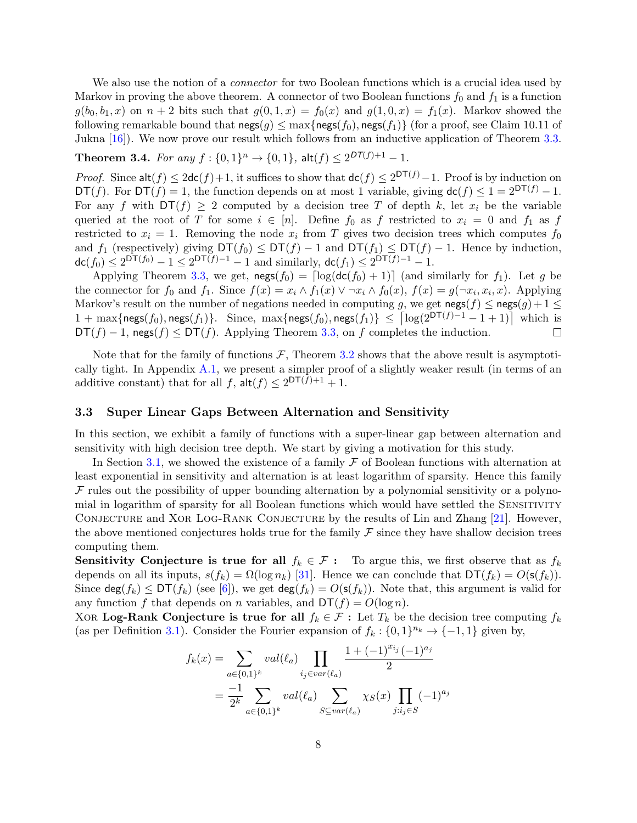We also use the notion of a *connector* for two Boolean functions which is a crucial idea used by Markov in proving the above theorem. A connector of two Boolean functions  $f_0$  and  $f_1$  is a function  $g(b_0, b_1, x)$  on  $n + 2$  bits such that  $g(0, 1, x) = f_0(x)$  and  $g(1, 0, x) = f_1(x)$ . Markov showed the following remarkable bound that  $\mathsf{negs}(g) \leq \max\{\mathsf{negs}(f_0), \mathsf{negs}(f_1)\}$  (for a proof, see Claim 10.11 of Jukna [\[16\]](#page-15-11)). We now prove our result which follows from an inductive application of Theorem [3.3.](#page-6-1)

## <span id="page-7-0"></span>**Theorem 3.4.** For any  $f: \{0,1\}^n \to \{0,1\}$ ,  $\mathsf{alt}(f) \leq 2^{DT(f)+1} - 1$ .

*Proof.* Since  $\mathsf{alt}(f) \leq 2\mathsf{dc}(f) + 1$ , it suffices to show that  $\mathsf{dc}(f) \leq 2^{DT(f)} - 1$ . Proof is by induction on  $DT(f)$ . For  $DT(f) = 1$ , the function depends on at most 1 variable, giving  $dc(f) \leq 1 = 2^{DT(f)} - 1$ . For any f with  $DT(f) \geq 2$  computed by a decision tree T of depth k, let  $x_i$  be the variable queried at the root of T for some  $i \in [n]$ . Define  $f_0$  as f restricted to  $x_i = 0$  and  $f_1$  as f restricted to  $x_i = 1$ . Removing the node  $x_i$  from T gives two decision trees which computes  $f_0$ and  $f_1$  (respectively) giving  $DT(f_0) \le DT(f) - 1$  and  $DT(f_1) \le DT(f) - 1$ . Hence by induction,  $\mathsf{dc}(f_0) \le 2^{\mathsf{DT}(f_0)} - 1 \le 2^{\mathsf{DT}(f)-1} - 1$  and similarly,  $\mathsf{dc}(f_1) \le 2^{\mathsf{DT}(f)-1} - 1$ .

Applying Theorem [3.3,](#page-6-1) we get,  $\mathsf{nego}(f_0) = \lceil \log(\mathsf{dc}(f_0) + 1) \rceil$  (and similarly for  $f_1$ ). Let g be the connector for  $f_0$  and  $f_1$ . Since  $f(x) = x_i \wedge f_1(x) \vee \neg x_i \wedge f_0(x)$ ,  $f(x) = g(\neg x_i, x_i, x)$ . Applying Markov's result on the number of negations needed in computing g, we get  $\mathsf{nego}(f) \leq \mathsf{nego}(g) + 1 \leq \mathsf{map}(g)$  $1+\max\{\mathsf{negs}(f_0),\mathsf{negs}(f_1)\}.$  Since,  $\max\{\mathsf{negs}(f_0),\mathsf{negs}(f_1)\} \leq \left\lceil \log(2^{\mathsf{DT}(f)-1}-1+1)\right\rceil$  which is  $DT(f) - 1$ , negs $(f) \le DT(f)$ . Applying Theorem [3.3,](#page-6-1) on f completes the induction.  $\Box$ 

Note that for the family of functions  $\mathcal{F}$ , Theorem [3.2](#page-5-1) shows that the above result is asymptotically tight. In Appendix  $A.1$ , we present a simpler proof of a slightly weaker result (in terms of an additive constant) that for all  $f$ ,  $\mathsf{alt}(f) \leq 2^{\mathsf{DT}(f)+1} + 1$ .

#### <span id="page-7-1"></span>3.3 Super Linear Gaps Between Alternation and Sensitivity

In this section, we exhibit a family of functions with a super-linear gap between alternation and sensitivity with high decision tree depth. We start by giving a motivation for this study.

In Section [3.1,](#page-4-0) we showed the existence of a family  $\mathcal F$  of Boolean functions with alternation at least exponential in sensitivity and alternation is at least logarithm of sparsity. Hence this family  $\mathcal F$  rules out the possibility of upper bounding alternation by a polynomial sensitivity or a polynomial in logarithm of sparsity for all Boolean functions which would have settled the Sensitivity CONJECTURE and XOR LOG-RANK CONJECTURE by the results of Lin and Zhang [\[21\]](#page-16-9). However, the above mentioned conjectures holds true for the family  $\mathcal F$  since they have shallow decision trees computing them.

Sensitivity Conjecture is true for all  $f_k \in \mathcal{F}$ : To argue this, we first observe that as  $f_k$ depends on all its inputs,  $s(f_k) = \Omega(\log n_k)$  [\[31\]](#page-16-2). Hence we can conclude that  $DT(f_k) = O(s(f_k)).$ Since  $\deg(f_k) \leq DT(f_k)$  (see [\[6\]](#page-15-0)), we get  $\deg(f_k) = O(s(f_k))$ . Note that, this argument is valid for any function f that depends on n variables, and  $DT(f) = O(\log n)$ .

XOR Log-Rank Conjecture is true for all  $f_k \in \mathcal{F}$ : Let  $T_k$  be the decision tree computing  $f_k$ (as per Definition [3.1\)](#page-5-0). Consider the Fourier expansion of  $f_k: \{0,1\}^{n_k} \to \{-1,1\}$  given by,

$$
f_k(x) = \sum_{a \in \{0,1\}^k} val(\ell_a) \prod_{i_j \in var(\ell_a)} \frac{1 + (-1)^{x_{i_j}} (-1)^{a_j}}{2}
$$

$$
= \frac{-1}{2^k} \sum_{a \in \{0,1\}^k} val(\ell_a) \sum_{S \subseteq var(\ell_a)} \chi_S(x) \prod_{j : i_j \in S} (-1)^{a_j}
$$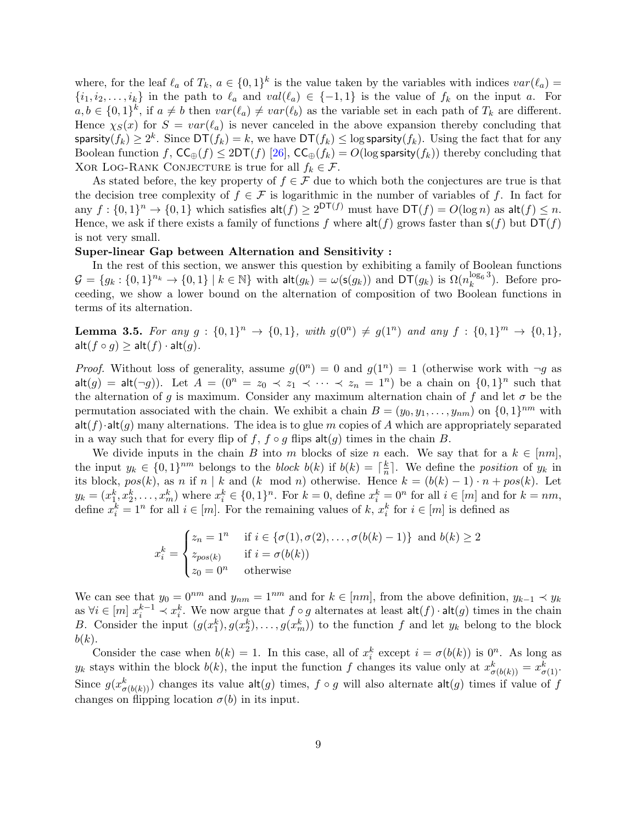where, for the leaf  $\ell_a$  of  $T_k$ ,  $a \in \{0,1\}^k$  is the value taken by the variables with indices  $var(\ell_a)$  $\{i_1, i_2, \ldots, i_k\}$  in the path to  $\ell_a$  and  $val(\ell_a) \in \{-1, 1\}$  is the value of  $f_k$  on the input a. For  $a, b \in \{0,1\}^k$ , if  $a \neq b$  then  $var(\ell_a) \neq var(\ell_b)$  as the variable set in each path of  $T_k$  are different. Hence  $\chi_S(x)$  for  $S = var(\ell_a)$  is never canceled in the above expansion thereby concluding that sparsity $(f_k) \ge 2^k$ . Since  $\mathsf{DT}(f_k) = k$ , we have  $\mathsf{DT}(f_k) \le \log$  sparsity $(f_k)$ . Using the fact that for any Boolean function f,  $\mathsf{CC}_{\oplus}(f) \leq 2\mathsf{DT}(f)$  [\[26\]](#page-16-7),  $\mathsf{CC}_{\oplus}(f_k) = O(\log \mathsf{sparsity}(f_k))$  thereby concluding that XOR LOG-RANK CONJECTURE is true for all  $f_k \in \mathcal{F}$ .

As stated before, the key property of  $f \in \mathcal{F}$  due to which both the conjectures are true is that the decision tree complexity of  $f \in \mathcal{F}$  is logarithmic in the number of variables of f. In fact for any  $f: \{0,1\}^n \to \{0,1\}$  which satisfies  $\mathsf{alt}(f) \geq 2^{\mathsf{DT}(f)}$  must have  $\mathsf{DT}(f) = O(\log n)$  as  $\mathsf{alt}(f) \leq n$ . Hence, we ask if there exists a family of functions f where  $\text{alt}(f)$  grows faster than  $\textbf{s}(f)$  but  $DT(f)$ is not very small.

#### Super-linear Gap between Alternation and Sensitivity :

In the rest of this section, we answer this question by exhibiting a family of Boolean functions  $\mathcal{G} = \{g_k : \{0,1\}^{n_k} \to \{0,1\} \mid k \in \mathbb{N}\}\$  with  $\mathsf{alt}(g_k) = \omega(\mathsf{s}(g_k))$  and  $\mathsf{DT}(g_k)$  is  $\Omega(n_k^{\log_6 3})$ . Before proceeding, we show a lower bound on the alternation of composition of two Boolean functions in terms of its alternation.

<span id="page-8-0"></span>**Lemma 3.5.** For any  $g: \{0,1\}^n \to \{0,1\}$ , with  $g(0^n) \neq g(1^n)$  and any  $f: \{0,1\}^m \to \{0,1\}$ ,  $\mathsf{alt}(f \circ g) \geq \mathsf{alt}(f) \cdot \mathsf{alt}(g).$ 

*Proof.* Without loss of generality, assume  $g(0^n) = 0$  and  $g(1^n) = 1$  (otherwise work with  $\neg g$  as  $\mathsf{alt}(g) = \mathsf{alt}(\neg g)$ . Let  $A = (0^n = z_0 \prec z_1 \prec \cdots \prec z_n = 1^n)$  be a chain on  $\{0,1\}^n$  such that the alternation of g is maximum. Consider any maximum alternation chain of f and let  $\sigma$  be the permutation associated with the chain. We exhibit a chain  $B = (y_0, y_1, \ldots, y_{nm})$  on  $\{0, 1\}^{nm}$  with  $\text{alt}(f) \cdot \text{alt}(g)$  many alternations. The idea is to glue m copies of A which are appropriately separated in a way such that for every flip of f,  $f \circ g$  flips  $\mathsf{alt}(g)$  times in the chain B.

We divide inputs in the chain B into m blocks of size n each. We say that for a  $k \in [nm]$ , the input  $y_k \in \{0,1\}^{nm}$  belongs to the block  $b(k)$  if  $b(k) = \lceil \frac{k}{n} \rceil$  $\frac{k}{n}$ . We define the *position* of  $y_k$  in its block,  $pos(k)$ , as n if n | k and (k mod n) otherwise. Hence  $k = (b(k) - 1) \cdot n + pos(k)$ . Let  $y_k = (x_1^k, x_2^k, \ldots, x_m^k)$  where  $x_i^k \in \{0,1\}^n$ . For  $k = 0$ , define  $x_i^k = 0^n$  for all  $i \in [m]$  and for  $k = nm$ , define  $x_i^k = 1^n$  for all  $i \in [m]$ . For the remaining values of k,  $x_i^k$  for  $i \in [m]$  is defined as

$$
x_i^k = \begin{cases} z_n = 1^n & \text{if } i \in \{\sigma(1), \sigma(2), \dots, \sigma(b(k) - 1)\} \text{ and } b(k) \ge 2\\ z_{pos(k)} & \text{if } i = \sigma(b(k))\\ z_0 = 0^n & \text{otherwise} \end{cases}
$$

We can see that  $y_0 = 0^{nm}$  and  $y_{nm} = 1^{nm}$  and for  $k \in [nm]$ , from the above definition,  $y_{k-1} \prec y_k$ as  $\forall i \in [m]$   $x_i^{k-1} \prec x_i^k$ . We now argue that  $f \circ g$  alternates at least  $\mathsf{alt}(f) \cdot \mathsf{alt}(g)$  times in the chain B. Consider the input  $(g(x_1^k), g(x_2^k), \ldots, g(x_m^k))$  to the function f and let  $y_k$  belong to the block  $b(k).$ 

Consider the case when  $b(k) = 1$ . In this case, all of  $x_i^k$  except  $i = \sigma(b(k))$  is  $0^n$ . As long as  $y_k$  stays within the block  $b(k)$ , the input the function f changes its value only at  $x^k_{\sigma(b(k))} = x^k_{\sigma(1)}$ . Since  $g(x_{\sigma(b(k))}^k)$  changes its value  $\mathsf{alt}(g)$  times,  $f \circ g$  will also alternate  $\mathsf{alt}(g)$  times if value of  $f$ changes on flipping location  $\sigma(b)$  in its input.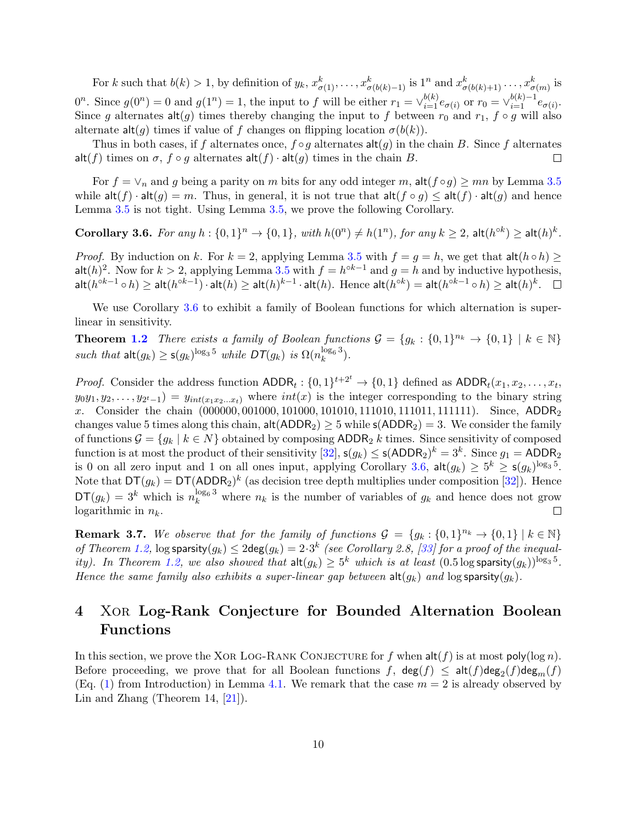For k such that  $b(k) > 1$ , by definition of  $y_k, x_{\sigma(1)}^k, \ldots, x_{\sigma(b(k)-1)}^k$  is  $1^n$  and  $x_{\sigma(b(k)+1)}^k, \ldots, x_{\sigma(m)}^k$  is  $0^n$ . Since  $g(0^n) = 0$  and  $g(1^n) = 1$ , the input to f will be either  $r_1 = \vee_{i=1}^{b(k)} e_{\sigma(i)}$  or  $r_0 = \vee_{i=1}^{b(k)-1} e_{\sigma(i)}$ . Since g alternates  $\text{alt}(g)$  times thereby changing the input to f between  $r_0$  and  $r_1$ ,  $f \circ g$  will also alternate  $\mathsf{alt}(q)$  times if value of f changes on flipping location  $\sigma(b(k))$ .

Thus in both cases, if f alternates once,  $f \circ g$  alternates  $\mathsf{alt}(g)$  in the chain B. Since f alternates alt(f) times on  $\sigma$ ,  $f \circ g$  alternates  $\mathsf{alt}(f) \cdot \mathsf{alt}(g)$  times in the chain B.  $\Box$ 

For  $f = \vee_n$  and g being a parity on m bits for any odd integer m, alt $(f \circ g) \ge mn$  by Lemma [3.5](#page-8-0) while  $\mathsf{alt}(f) \cdot \mathsf{alt}(g) = m$ . Thus, in general, it is not true that  $\mathsf{alt}(f \circ g) \leq \mathsf{alt}(f) \cdot \mathsf{alt}(g)$  and hence Lemma [3.5](#page-8-0) is not tight. Using Lemma [3.5,](#page-8-0) we prove the following Corollary.

<span id="page-9-0"></span>Corollary 3.6. For any  $h: \{0,1\}^n \to \{0,1\}$ , with  $h(0^n) \neq h(1^n)$ , for any  $k \geq 2$ , alt $(h^{\circ k}) \geq \mathsf{alt}(h)^k$ .

*Proof.* By induction on k. For  $k = 2$ , applying Lemma [3.5](#page-8-0) with  $f = g = h$ , we get that  $\mathsf{alt}(h \circ h) \ge$ alt $(h)^2$ . Now for  $k > 2$ , applying Lemma [3.5](#page-8-0) with  $f = h^{\circ k-1}$  and  $g = h$  and by inductive hypothesis,  $\mathsf{alt}(h^{\circ k-1} \circ h) \geq \mathsf{alt}(h^{\circ k-1}) \cdot \mathsf{alt}(h) \geq \mathsf{alt}(h)^{k-1} \cdot \mathsf{alt}(h). \ \ \mathsf{Hence} \ \ \mathsf{alt}(h^{\circ k}) = \mathsf{alt}(h^{\circ k-1} \circ h) \geq \mathsf{alt}(h)^k.$ 

We use Corollary [3.6](#page-9-0) to exhibit a family of Boolean functions for which alternation is superlinear in sensitivity.

**Theorem [1.2](#page-2-1)** There exists a family of Boolean functions  $\mathcal{G} = \{g_k : \{0,1\}^{n_k} \to \{0,1\} \mid k \in \mathbb{N}\}\$ such that  $\mathsf{alt}(g_k) \ge \mathsf{s}(g_k)^{\log_3 5}$  while  $\mathsf{DT}(g_k)$  is  $\Omega(n_k^{\log_6 3})$ .

*Proof.* Consider the address function  $\text{ADDR}_t: \{0,1\}^{t+2^t} \to \{0,1\}$  defined as  $\text{ADDR}_t(x_1, x_2, \ldots, x_t,$  $y_0y_1, y_2, \ldots, y_{2^t-1}$  =  $y_{int(x_1x_2...x_t)}$  where  $int(x)$  is the integer corresponding to the binary string x. Consider the chain (000000, 001000, 101000, 101010, 111010, 111011, 111111). Since, ADDR<sub>2</sub> changes value 5 times along this chain,  $\text{alt}(\text{ADDR}_2) \geq 5$  while  $\text{s}(\text{ADDR}_2) = 3$ . We consider the family of functions  $\mathcal{G} = \{g_k \mid k \in N\}$  obtained by composing ADDR<sub>2</sub> k times. Since sensitivity of composed function is at most the product of their sensitivity  $[32]$ ,  $\mathsf{s}(g_k) \leq \mathsf{s}(\mathsf{ADDR}_2)^k = 3^k$ . Since  $g_1 = \mathsf{ADDR}_2$ is 0 on all zero input and 1 on all ones input, applying Corollary [3.6,](#page-9-0)  $\mathsf{alt}(g_k) \geq 5^k \geq \mathsf{s}(g_k)^{\log_3 5}$ . Note that  $DT(g_k) = DT(ADDR_2)^k$  (as decision tree depth multiplies under composition [\[32\]](#page-17-0)). Hence  $DT(g_k) = 3^k$  which is  $n_k^{\log_6 3}$  where  $n_k$  is the number of variables of  $g_k$  and hence does not grow logarithmic in  $n_k$ .

**Remark 3.7.** We observe that for the family of functions  $\mathcal{G} = \{g_k : \{0,1\}^{n_k} \to \{0,1\} \mid k \in \mathbb{N}\}\$ of Theorem [1.2,](#page-2-1)  $\log$  sparsity $(g_k) \leq 2\deg(g_k) = 2 \cdot 3^k$  (see Corollary 2.8, [\[33\]](#page-17-5) for a proof of the inequal-ity). In Theorem [1.2,](#page-2-1) we also showed that  $\text{alt}(g_k) \geq 5^k$  which is at least  $(0.5 \log \text{sparsity}(g_k))^{\log_3 5}$ . Hence the same family also exhibits a super-linear gap between  $\text{alt}(g_k)$  and  $\log$  sparsity $(g_k)$ .

## <span id="page-9-2"></span>4 Xor Log-Rank Conjecture for Bounded Alternation Boolean Functions

<span id="page-9-1"></span>In this section, we prove the XOR LOG-RANK CONJECTURE for f when  $\text{alt}(f)$  is at most  $\text{poly}(\log n)$ . Before proceeding, we prove that for all Boolean functions  $f$ ,  $\deg(f) \leq \text{alt}(f)\deg_2(f)\deg_m(f)$ (Eq. [\(1\)](#page-2-2) from Introduction) in Lemma [4.1.](#page-9-1) We remark that the case  $m = 2$  is already observed by Lin and Zhang (Theorem 14,  $[21]$ ).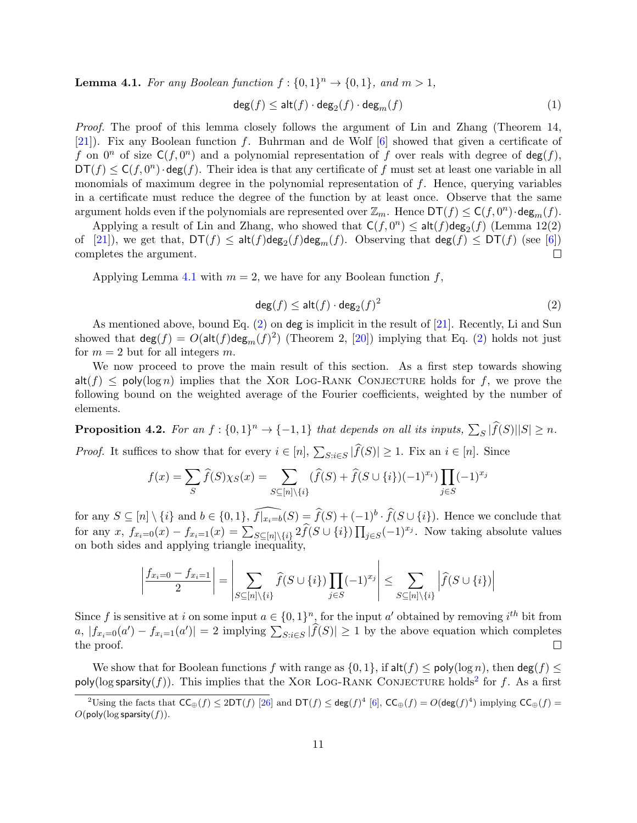**Lemma 4.1.** For any Boolean function  $f: \{0, 1\}^n \to \{0, 1\}$ , and  $m > 1$ ,

$$
\deg(f) \le \mathsf{alt}(f) \cdot \deg_2(f) \cdot \deg_m(f) \tag{1}
$$

Proof. The proof of this lemma closely follows the argument of Lin and Zhang (Theorem 14, [\[21\]](#page-16-9)). Fix any Boolean function f. Buhrman and de Wolf [\[6\]](#page-15-0) showed that given a certificate of f on  $0^n$  of size  $C(f, 0^n)$  and a polynomial representation of f over reals with degree of  $deg(f)$ ,  $DT(f) \leq C(f, 0^n) \cdot deg(f)$ . Their idea is that any certificate of f must set at least one variable in all monomials of maximum degree in the polynomial representation of f. Hence, querying variables in a certificate must reduce the degree of the function by at least once. Observe that the same argument holds even if the polynomials are represented over  $\mathbb{Z}_m$ . Hence  $DT(f) \leq C(f, 0^n) \cdot deg_m(f)$ .

Applying a result of Lin and Zhang, who showed that  $\mathsf{C}(f, 0^n) \leq \mathsf{alt}(f) \mathsf{deg}_2(f)$  (Lemma 12(2) of [\[21\]](#page-16-9)), we get that,  $DT(f) \leq \mathsf{alt}(f) \mathsf{deg}_2(f) \mathsf{deg}_m(f)$ . Observing that  $\mathsf{deg}(f) \leq DT(f)$  (see [\[6\]](#page-15-0)) completes the argument.  $\Box$ 

Applying Lemma [4.1](#page-9-1) with  $m = 2$ , we have for any Boolean function f,

<span id="page-10-0"></span>
$$
\deg(f) \le \mathsf{alt}(f) \cdot \deg_2(f)^2 \tag{2}
$$

As mentioned above, bound Eq. [\(2\)](#page-10-0) on deg is implicit in the result of [\[21\]](#page-16-9). Recently, Li and Sun showed that  $\deg(f) = O(\text{alt}(f)\deg_m(f)^2)$  (Theorem 2, [\[20\]](#page-16-12)) implying that Eq. [\(2\)](#page-10-0) holds not just for  $m = 2$  but for all integers m.

We now proceed to prove the main result of this section. As a first step towards showing  $\mathsf{alt}(f) \le \mathsf{poly}(\log n)$  implies that the XOR LOG-RANK CONJECTURE holds for f, we prove the following bound on the weighted average of the Fourier coefficients, weighted by the number of elements.

<span id="page-10-2"></span>**Proposition 4.2.** For an  $f: \{0,1\}^n \to \{-1,1\}$  that depends on all its inputs,  $\sum_S |\widehat{f}(S)||S| \geq n$ .

*Proof.* It suffices to show that for every  $i \in [n]$ ,  $\sum_{S:i\in S} |f(S)| \geq 1$ . Fix an  $i \in [n]$ . Since

 $\mathbf{I}$ 

$$
f(x) = \sum_{S} \hat{f}(S)\chi_{S}(x) = \sum_{S \subseteq [n] \setminus \{i\}} (\hat{f}(S) + \hat{f}(S \cup \{i\})(-1)^{x_i}) \prod_{j \in S} (-1)^{x_j}
$$

for any  $S \subseteq [n] \setminus \{i\}$  and  $b \in \{0,1\}$ ,  $\widehat{f(x_{i}=b)}(S) = \widehat{f}(S) + (-1)^{b} \cdot \widehat{f}(S \cup \{i\})$ . Hence we conclude that for any  $x, f_{x_i=0}(x) - f_{x_i=1}(x) = \sum_{S \subseteq [n] \setminus \{i\}} 2 \widehat{f}(S \cup \{i\}) \prod_{j \in S} (-1)^{x_j}$ . Now taking absolute values on both sides and applying triangle inequality,

$$
\left|\frac{f_{x_i=0}-f_{x_i=1}}{2}\right| = \left|\sum_{S \subseteq [n] \setminus \{i\}} \widehat{f}(S \cup \{i\}) \prod_{j \in S} (-1)^{x_j}\right| \le \sum_{S \subseteq [n] \setminus \{i\}} \left|\widehat{f}(S \cup \{i\})\right|
$$

Since f is sensitive at i on some input  $a \in \{0,1\}^n$ , for the input a' obtained by removing i<sup>th</sup> bit from  $a, |f_{x_i=0}(a') - f_{x_i=1}(a')| = 2$  implying  $\sum_{S:i\in S} |\widehat{f}(S)| \ge 1$  by the above equation which completes the proof.

We show that for Boolean functions f with range as  $\{0, 1\}$ , if  $\mathsf{alt}(f) \le \mathsf{poly}(\log n)$ , then  $\mathsf{deg}(f) \le$ poly(log sparsity(f)). This implies that the XOR LOG-RANK CONJECTURE holds<sup>[2](#page-10-1)</sup> for f. As a first

<span id="page-10-1"></span><sup>&</sup>lt;sup>2</sup>Using the facts that  $\mathsf{CC}_{\oplus}(f) \leq 2\mathsf{DT}(f)$  [\[26\]](#page-16-7) and  $\mathsf{DT}(f) \leq \mathsf{deg}(f)^4$  [\[6\]](#page-15-0),  $\mathsf{CC}_{\oplus}(f) = O(\mathsf{deg}(f)^4)$  implying  $\mathsf{CC}_{\oplus}(f) =$  $O({\sf poly}(\log {\sf sparsity}(f)).$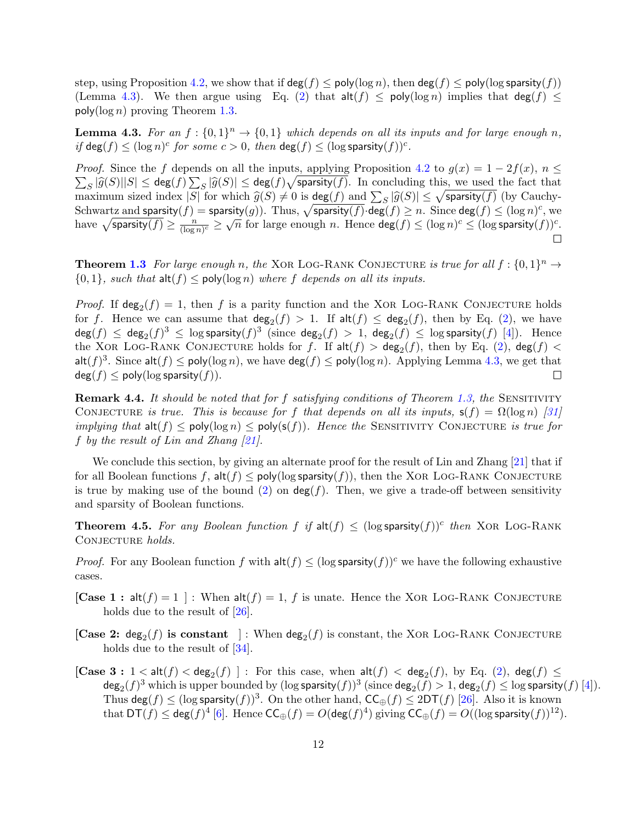step, using Proposition [4.2,](#page-10-2) we show that if  $\deg(f) \leq \text{poly}(\log n)$ , then  $\deg(f) \leq \text{poly}(\log \text{sparsity}(f))$ (Lemma [4.3\)](#page-11-0). We then argue using Eq. [\(2\)](#page-10-0) that  $\text{alt}(f) \le \text{poly}(\log n)$  implies that  $\text{deg}(f) \le$ poly( $\log n$ ) proving Theorem [1.3.](#page-2-3)

<span id="page-11-0"></span>**Lemma 4.3.** For an  $f: \{0,1\}^n \to \{0,1\}$  which depends on all its inputs and for large enough n, if  $\deg(f) \leq (\log n)^c$  for some  $c > 0$ , then  $\deg(f) \leq (\log \text{sparsity}(f))^c$ .

*Proof.* Since the f depends on all the inputs, applying Proposition [4.2](#page-10-2) to  $g(x) = 1 - 2f(x)$ ,  $n \leq$  $\sum_{S} |\widehat{g}(S)||S| \leq \deg(f) \sum_{S} |\widehat{g}(S)| \leq \deg(f) \sqrt{\text{sparsity}(f)}$ . In concluding this, we used the fact that maximum gired index  $|S|$  for which  $\widehat{g}(S) \neq 0$  is  $\deg(f)$  and  $\sum |\widehat{g}(S)| \leq \sqrt{\text{sparsity}(f)}$  (by Cauchy maximum sized index  $|S|$  for which  $\hat{g}(S) \neq 0$  is  $\deg(f)$  and  $\sum_{S} |\hat{g}(S)| \leq \sqrt{\text{sparsity}(f)}$  (by Cauchy-<br>Sebwartz and coarsity(f) = sparsity(g)). Thus  $\deg(f)$  dog(f)  $\geq n$ . Since  $\deg(f) \leq (\log n)^c$  was Schwartz and sparsity $(f)$  = sparsity $(g)$ ). Thus,  $\sqrt{\text{sparsity}(f)}\cdot \text{deg}(f) \ge n$ . Since  $\text{deg}(f) \le (\log n)^c$ , we have  $\sqrt{\text{sparsity}(f)} \ge \frac{n}{\sqrt{\log n}}$  $\frac{n}{(\log n)^c} \geq \sqrt{n}$  for large enough n. Hence  $\deg(f) \leq (\log n)^c \leq (\log \text{sparsity}(f))^c$ .  $\Box$ 

**Theorem [1.3](#page-2-3)** For large enough n, the XOR LOG-RANK CONJECTURE is true for all  $f: \{0,1\}^n \to$  $\{0, 1\}$ , such that  $\mathsf{alt}(f) \le \mathsf{poly}(\log n)$  where f depends on all its inputs.

*Proof.* If  $\deg_2(f) = 1$ , then f is a parity function and the XOR LOG-RANK CONJECTURE holds for f. Hence we can assume that  $deg_2(f) > 1$ . If  $alt(f) \leq deg_2(f)$ , then by Eq. [\(2\)](#page-10-0), we have  $\deg(f) \, \leq \, \deg_2(f)^3 \, \leq \, \log$  sparsity $(f)^3 \,$  (since  $\deg_2(f) \, > \, 1, \, \deg_2(f) \, \leq \, \log$  sparsity $(f) \,$   $[4])$  $[4])$ . Hence the XOR LOG-RANK CONJECTURE holds for f. If  $\mathsf{alt}(f) > \mathsf{deg}_2(f)$ , then by Eq. [\(2\)](#page-10-0),  $\mathsf{deg}(f) <$ alt $(f)^3$ . Since alt $(f) \leq \text{poly}(\log n)$ , we have  $\deg(f) \leq \text{poly}(\log n)$ . Applying Lemma [4.3,](#page-11-0) we get that  $deg(f) \leq poly(log$  sparsity $(f)$ ).  $\Box$ 

**Remark 4.4.** It should be noted that for f satisfying conditions of Theorem [1.3,](#page-2-3) the SENSITIVITY CONJECTURE is true. This is because for f that depends on all its inputs,  $s(f) = \Omega(\log n)$  [\[31\]](#page-16-2) *implying that*  $\text{alt}(f) \le \text{poly}(\log n) \le \text{poly}(s(f))$ . Hence the SENSITIVITY CONJECTURE is true for f by the result of Lin and Zhang  $[21]$ .

We conclude this section, by giving an alternate proof for the result of Lin and Zhang [\[21\]](#page-16-9) that if for all Boolean functions f,  $\mathsf{alt}(f) \le \mathsf{poly}(\log \mathsf{sparsity}(f))$ , then the XOR LOG-RANK CONJECTURE is true by making use of the bound [\(2\)](#page-10-0) on  $\deg(f)$ . Then, we give a trade-off between sensitivity and sparsity of Boolean functions.

**Theorem 4.5.** For any Boolean function  $f$  if  $alt(f) \leq (log$  sparsity $(f)$ <sup>c</sup> then XOR LOG-RANK CONJECTURE holds.

*Proof.* For any Boolean function f with  $\mathsf{alt}(f) \leq (\log \mathsf{sparsity}(f))^c$  we have the following exhaustive cases.

- [Case 1 : alt $(f) = 1$ ] : When alt $(f) = 1$ , f is unate. Hence the XOR LOG-RANK CONJECTURE holds due to the result of [\[26\]](#page-16-7).
- [Case 2:  $deg_2(f)$  is constant ]: When  $deg_2(f)$  is constant, the XOR LOG-RANK CONJECTURE holds due to the result of  $[34]$ .
- [Case  $3: 1 < \mathsf{alt}(f) < \mathsf{deg}_2(f)$  ]: For this case, when  $\mathsf{alt}(f) < \mathsf{deg}_2(f)$ , by Eq. [\(2\)](#page-10-0),  $\mathsf{deg}(f) \le$  $\deg_2(f)^3$  which is upper bounded by  $(\log$  sparsity $(f))^3$  (since  $\deg_2(f) > 1$ ,  $\deg_2(f) \leq \log$  sparsity $(f)$  [\[4\]](#page-15-12)). Thus  $\deg(f) \leq (\log \text{sparsity}(f))^3$ . On the other hand,  $\mathsf{CC}_{\oplus}(f) \leq 2\mathsf{DT}(f)$  [\[26\]](#page-16-7). Also it is known that  $\mathsf{DT}(f) \leq \mathsf{deg}(f)^4$  [\[6\]](#page-15-0). Hence  $\mathsf{CC}_{\oplus}(f) = O(\mathsf{deg}(f)^4)$  giving  $\mathsf{CC}_{\oplus}(f) = O((\log \mathsf{sparsity}(f))^{12})$ .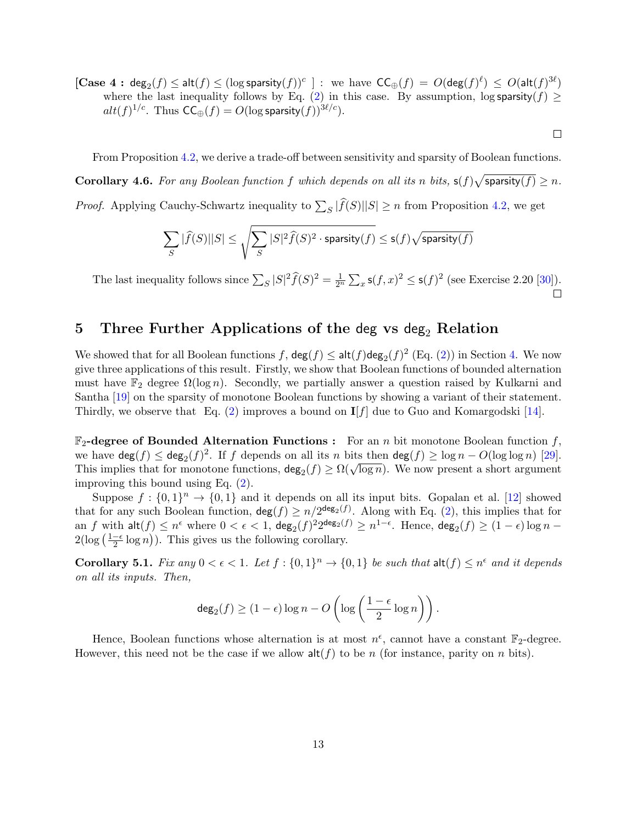$[\textbf{Case 4}: \text{deg}_{2}(f) \leq \text{alt}(f) \leq (\log \text{sparsity}(f))^c]$  : we have  $\mathsf{CC}_{\oplus}(f) = O(\text{deg}(f)^{\ell}) \leq O(\text{alt}(f)^{3\ell})$ where the last inequality follows by Eq. [\(2\)](#page-10-0) in this case. By assumption, log sparsity( $f$ )  $\geq$  $alt(f)^{1/c}$ . Thus  $\mathsf{CC}_{\oplus}(f) = O(\log \mathsf{sparsity}(f))^{3\ell/c})$ .

From Proposition [4.2,](#page-10-2) we derive a trade-off between sensitivity and sparsity of Boolean functions. **Corollary 4.6.** For any Boolean function f which depends on all its n bits,  $s(f)\sqrt{\text{sparsity}(f)} \geq n$ . *Proof.* Applying Cauchy-Schwartz inequality to  $\sum_{S} |f(S)||S| \geq n$  from Proposition [4.2,](#page-10-2) we get

 $\Box$ 

$$
\sum_S |\widehat{f}(S)||S| \leq \sqrt{\sum_S |S|^2 \widehat{f}(S)^2 \cdot \text{sparsity}(f)} \leq \mathsf{s}(f) \sqrt{\text{sparsity}(f)}
$$

The last inequality follows since  $\sum_{S} |S|^2 \widehat{f}(S)^2 = \frac{1}{2^n} \sum_{x} s(f,x)^2 \leq s(f)^2$  (see Exercise 2.20 [\[30\]](#page-16-10)).  $\Box$ 

## <span id="page-12-0"></span>5 Three Further Applications of the deg vs deg<sub>2</sub> Relation

We showed that for all Boolean functions  $f$ ,  $\deg(f) \leq \text{alt}(f) \text{deg}_2(f)^2$  (Eq. [\(2\)](#page-10-0)) in Section [4.](#page-9-2) We now give three applications of this result. Firstly, we show that Boolean functions of bounded alternation must have  $\mathbb{F}_2$  degree  $\Omega(\log n)$ . Secondly, we partially answer a question raised by Kulkarni and Santha [\[19\]](#page-16-8) on the sparsity of monotone Boolean functions by showing a variant of their statement. Thirdly, we observe that Eq. [\(2\)](#page-10-0) improves a bound on  $I[f]$  due to Guo and Komargodski [\[14\]](#page-15-10).

 $\mathbb{F}_2$ -degree of Bounded Alternation Functions : For an n bit monotone Boolean function f, we have  $\deg(f) \leq \deg_2(f)^2$ . If f depends on all its n bits then  $\deg(f) \geq \log n - O(\log \log n)$  [\[29\]](#page-16-0). we nave  $\deg(f) \leq \deg_2(f)$ . If f depends on an its *n* bits then  $\deg(f) \geq \log n - O(\log \log n)$  [23].<br>This implies that for monotone functions,  $\deg_2(f) \geq \Omega(\sqrt{\log n})$ . We now present a short argument improving this bound using Eq. [\(2\)](#page-10-0).

Suppose  $f: \{0,1\}^n \to \{0,1\}$  and it depends on all its input bits. Gopalan et al. [\[12\]](#page-15-9) showed that for any such Boolean function,  $\deg(f) \ge n/2^{\deg_2(f)}$ . Along with Eq. [\(2\)](#page-10-0), this implies that for an  $f$  with  $\mathsf{alt}(f) \leq n^{\epsilon}$  where  $0 < \epsilon < 1$ ,  $\mathsf{deg}_2(f)^2 2^{\mathsf{deg}_2(f)} \geq n^{1-\epsilon}$ . Hence,  $\mathsf{deg}_2(f) \geq (1-\epsilon) \log n 2(\log(\frac{1-\epsilon}{2}))$  $\frac{-\epsilon}{2} \log n$ ). This gives us the following corollary.

<span id="page-12-1"></span>**Corollary 5.1.** Fix any  $0 < \epsilon < 1$ . Let  $f : \{0,1\}^n \to \{0,1\}$  be such that  $\text{alt}(f) \leq n^{\epsilon}$  and it depends on all its inputs. Then,

$$
\deg_2(f) \ge (1 - \epsilon) \log n - O\left(\log \left(\frac{1 - \epsilon}{2} \log n\right)\right).
$$

Hence, Boolean functions whose alternation is at most  $n^{\epsilon}$ , cannot have a constant  $\mathbb{F}_2$ -degree. However, this need not be the case if we allow  $\mathsf{alt}(f)$  to be n (for instance, parity on n bits).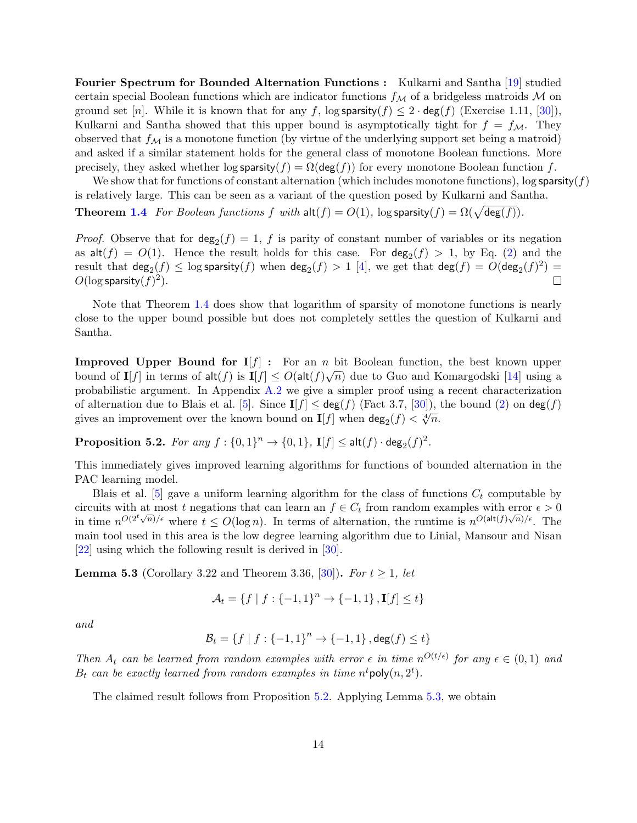Fourier Spectrum for Bounded Alternation Functions : Kulkarni and Santha [\[19\]](#page-16-8) studied certain special Boolean functions which are indicator functions  $f_M$  of a bridgeless matroids M on ground set [n]. While it is known that for any f, log sparsity(f)  $\leq 2 \cdot \text{deg}(f)$  (Exercise 1.11, [\[30\]](#page-16-10)), Kulkarni and Santha showed that this upper bound is asymptotically tight for  $f = f_{\mathcal{M}}$ . They observed that  $f_{\mathcal{M}}$  is a monotone function (by virtue of the underlying support set being a matroid) and asked if a similar statement holds for the general class of monotone Boolean functions. More precisely, they asked whether log sparsity( $f$ ) =  $\Omega(\deg(f))$  for every monotone Boolean function f.

We show that for functions of constant alternation (which includes monotone functions), log sparsity( $f$ ) is relatively large. This can be seen as a variant of the question posed by Kulkarni and Santha.

**Theorem [1.4](#page-3-2)** For Boolean functions f with  $\text{alt}(f) = O(1)$ ,  $\log$  sparsity $(f) = \Omega(\sqrt{\deg(f)})$ .

*Proof.* Observe that for  $deg_2(f) = 1$ , f is parity of constant number of variables or its negation as  $\mathsf{alt}(f) = O(1)$ . Hence the result holds for this case. For  $\deg_2(f) > 1$ , by Eq. [\(2\)](#page-10-0) and the result that  $\deg_2(f) \leq \log$  sparsity $(f)$  when  $\deg_2(f) > 1$  [\[4\]](#page-15-12), we get that  $\deg(f) = O(\deg_2(f)^2) =$  $O(\log \text{sparsity}(f)^2)$ .  $\Box$ 

Note that Theorem [1.4](#page-3-2) does show that logarithm of sparsity of monotone functions is nearly close to the upper bound possible but does not completely settles the question of Kulkarni and Santha.

**Improved Upper Bound for I**[f] : For an n bit Boolean function, the best known upper bound of  $I[f]$  in terms of alt $(f)$  is  $I[f] \leq O(\text{alt}(f)\sqrt{n})$  due to Guo and Komargodski [\[14\]](#page-15-10) using a probabilistic argument. In Appendix [A.2](#page-17-7) we give a simpler proof using a recent characterization of alternation due to Blais et al. [\[5\]](#page-15-13). Since  $I[f] \leq deg(f)$  (Fact 3.7, [\[30\]](#page-16-10)), the bound [\(2\)](#page-10-0) on  $deg(f)$ gives an improvement over the known bound on  $I[f]$  when  $\deg_2(f) < \sqrt[4]{n}$ .

<span id="page-13-0"></span>**Proposition 5.2.** For any  $f: \{0,1\}^n \to \{0,1\}$ ,  $I[f] \leq \mathsf{alt}(f) \cdot \mathsf{deg}_2(f)^2$ .

This immediately gives improved learning algorithms for functions of bounded alternation in the PAC learning model.

Blais et al. [\[5\]](#page-15-13) gave a uniform learning algorithm for the class of functions  $C_t$  computable by circuits with at most t negations that can learn an  $f \in C_t$  from random examples with error  $\epsilon > 0$ in time  $n^{O(2^t\sqrt{n})/\epsilon}$  where  $t \leq O(\log n)$ . In terms of alternation, the runtime is  $n^{O(\text{alt}(f)\sqrt{n})/\epsilon}$ . The main tool used in this area is the low degree learning algorithm due to Linial, Mansour and Nisan [\[22\]](#page-16-13) using which the following result is derived in [\[30\]](#page-16-10).

<span id="page-13-1"></span>**Lemma 5.3** (Corollary 3.22 and Theorem 3.36, [\[30\]](#page-16-10)). For  $t \ge 1$ , let

$$
\mathcal{A}_t = \{f \mid f: \{-1, 1\}^n \to \{-1, 1\}, \mathbf{I}[f] \le t\}
$$

and

$$
\mathcal{B}_t = \{ f \mid f : \{-1, 1\}^n \to \{-1, 1\} \, , \deg(f) \leq t \}
$$

Then  $A_t$  can be learned from random examples with error  $\epsilon$  in time  $n^{O(t/\epsilon)}$  for any  $\epsilon \in (0,1)$  and  $B_t$  can be exactly learned from random examples in time  $n^t$ poly $(n, 2^t)$ .

The claimed result follows from Proposition [5.2.](#page-13-0) Applying Lemma [5.3,](#page-13-1) we obtain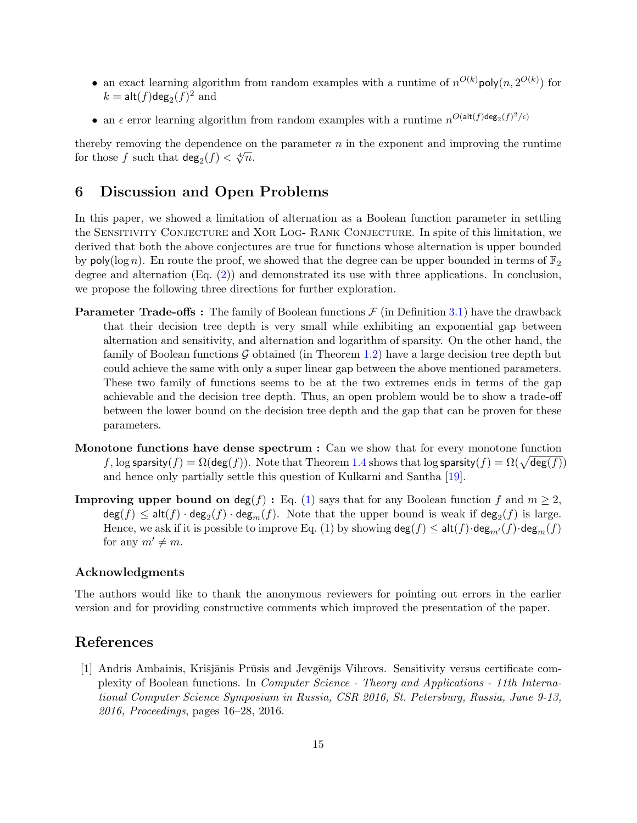- an exact learning algorithm from random examples with a runtime of  $n^{O(k)}$ poly $(n, 2^{O(k)})$  for  $k = \mathsf{alt}(f) \mathsf{deg}_2(f)^2$  and
- an  $\epsilon$  error learning algorithm from random examples with a runtime  $n^{O(\text{alt}(f)\text{deg}_2(f)^2/\epsilon)}$

thereby removing the dependence on the parameter  $n$  in the exponent and improving the runtime for those f such that  $deg_2(f) < \sqrt[4]{n}$ .

## 6 Discussion and Open Problems

In this paper, we showed a limitation of alternation as a Boolean function parameter in settling the SENSITIVITY CONJECTURE and XOR LOG- RANK CONJECTURE. In spite of this limitation, we derived that both the above conjectures are true for functions whose alternation is upper bounded by poly( $\log n$ ). En route the proof, we showed that the degree can be upper bounded in terms of  $\mathbb{F}_2$ degree and alternation (Eq. [\(2\)](#page-10-0)) and demonstrated its use with three applications. In conclusion, we propose the following three directions for further exploration.

- **Parameter Trade-offs**: The family of Boolean functions  $\mathcal F$  (in Definition [3.1\)](#page-5-0) have the drawback that their decision tree depth is very small while exhibiting an exponential gap between alternation and sensitivity, and alternation and logarithm of sparsity. On the other hand, the family of Boolean functions  $G$  obtained (in Theorem [1.2\)](#page-2-1) have a large decision tree depth but could achieve the same with only a super linear gap between the above mentioned parameters. These two family of functions seems to be at the two extremes ends in terms of the gap achievable and the decision tree depth. Thus, an open problem would be to show a trade-off between the lower bound on the decision tree depth and the gap that can be proven for these parameters.
- Monotone functions have dense spectrum : Can we show that for every monotone function f, log sparsity $(f) = \Omega(\deg(f))$ . Note that Theorem [1.4](#page-3-2) shows that  $\log$  sparsity $(f) = \Omega(\sqrt{\deg(f)})$ and hence only partially settle this question of Kulkarni and Santha [\[19\]](#page-16-8).
- **Improving upper bound on deg(f):** Eq. [\(1\)](#page-2-2) says that for any Boolean function f and  $m \geq 2$ ,  $deg(f) \leq alt(f) \cdot deg_2(f) \cdot deg_m(f)$ . Note that the upper bound is weak if  $deg_2(f)$  is large. Hence, we ask if it is possible to improve Eq. [\(1\)](#page-2-2) by showing  $\deg(f) \leq \text{alt}(f) \cdot \deg_{m'}(f) \cdot \deg_m(f)$ for any  $m' \neq m$ .

### Acknowledgments

The authors would like to thank the anonymous reviewers for pointing out errors in the earlier version and for providing constructive comments which improved the presentation of the paper.

## References

<span id="page-14-0"></span>[1] Andris Ambainis, Krišjānis Prūsis and Jevgēnijs Vihrovs. Sensitivity versus certificate complexity of Boolean functions. In Computer Science - Theory and Applications - 11th International Computer Science Symposium in Russia, CSR 2016, St. Petersburg, Russia, June 9-13, 2016, Proceedings, pages 16–28, 2016.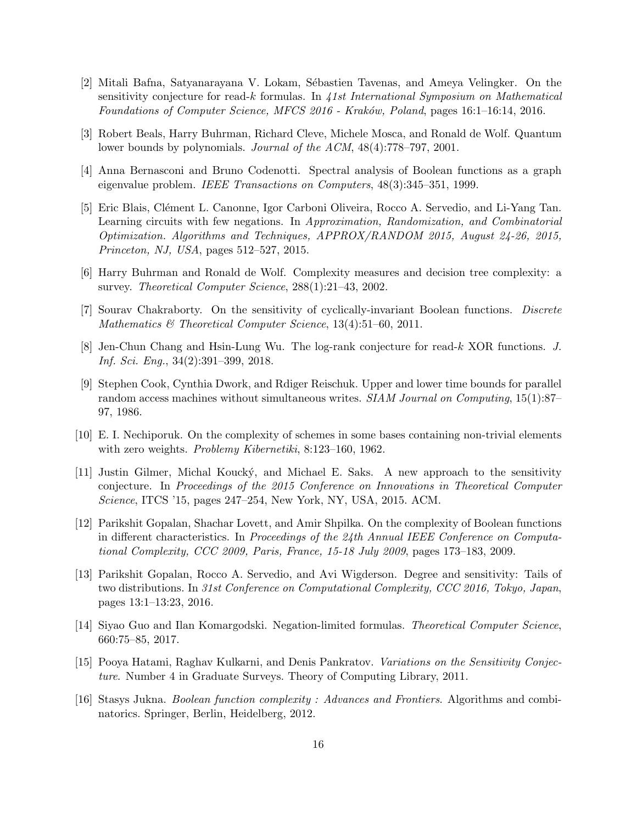- <span id="page-15-5"></span>[2] Mitali Bafna, Satyanarayana V. Lokam, S´ebastien Tavenas, and Ameya Velingker. On the sensitivity conjecture for read-k formulas. In  $41st$  International Symposium on Mathematical Foundations of Computer Science, MFCS 2016 - Kraków, Poland, pages 16:1–16:14, 2016.
- <span id="page-15-2"></span>[3] Robert Beals, Harry Buhrman, Richard Cleve, Michele Mosca, and Ronald de Wolf. Quantum lower bounds by polynomials. Journal of the ACM, 48(4):778–797, 2001.
- <span id="page-15-12"></span>[4] Anna Bernasconi and Bruno Codenotti. Spectral analysis of Boolean functions as a graph eigenvalue problem. IEEE Transactions on Computers, 48(3):345–351, 1999.
- <span id="page-15-13"></span>[5] Eric Blais, Clément L. Canonne, Igor Carboni Oliveira, Rocco A. Servedio, and Li-Yang Tan. Learning circuits with few negations. In Approximation, Randomization, and Combinatorial Optimization. Algorithms and Techniques, APPROX/RANDOM 2015, August 24-26, 2015, Princeton, NJ, USA, pages 512–527, 2015.
- <span id="page-15-0"></span>[6] Harry Buhrman and Ronald de Wolf. Complexity measures and decision tree complexity: a survey. Theoretical Computer Science, 288(1):21–43, 2002.
- <span id="page-15-4"></span>[7] Sourav Chakraborty. On the sensitivity of cyclically-invariant Boolean functions. Discrete Mathematics & Theoretical Computer Science, 13(4):51–60, 2011.
- <span id="page-15-8"></span>[8] Jen-Chun Chang and Hsin-Lung Wu. The log-rank conjecture for read-k XOR functions. J. Inf. Sci. Eng., 34(2):391–399, 2018.
- <span id="page-15-1"></span>[9] Stephen Cook, Cynthia Dwork, and Rdiger Reischuk. Upper and lower time bounds for parallel random access machines without simultaneous writes. SIAM Journal on Computing, 15(1):87– 97, 1986.
- <span id="page-15-14"></span>[10] E. I. Nechiporuk. On the complexity of schemes in some bases containing non-trivial elements with zero weights. Problemy Kibernetiki, 8:123–160, 1962.
- <span id="page-15-6"></span>[11] Justin Gilmer, Michal Kouck´y, and Michael E. Saks. A new approach to the sensitivity conjecture. In Proceedings of the 2015 Conference on Innovations in Theoretical Computer Science, ITCS '15, pages 247–254, New York, NY, USA, 2015. ACM.
- <span id="page-15-9"></span>[12] Parikshit Gopalan, Shachar Lovett, and Amir Shpilka. On the complexity of Boolean functions in different characteristics. In Proceedings of the 24th Annual IEEE Conference on Computational Complexity, CCC 2009, Paris, France, 15-18 July 2009, pages 173–183, 2009.
- <span id="page-15-7"></span>[13] Parikshit Gopalan, Rocco A. Servedio, and Avi Wigderson. Degree and sensitivity: Tails of two distributions. In 31st Conference on Computational Complexity, CCC 2016, Tokyo, Japan, pages 13:1–13:23, 2016.
- <span id="page-15-10"></span>[14] Siyao Guo and Ilan Komargodski. Negation-limited formulas. Theoretical Computer Science, 660:75–85, 2017.
- <span id="page-15-3"></span>[15] Pooya Hatami, Raghav Kulkarni, and Denis Pankratov. Variations on the Sensitivity Conjecture. Number 4 in Graduate Surveys. Theory of Computing Library, 2011.
- <span id="page-15-11"></span>[16] Stasys Jukna. Boolean function complexity : Advances and Frontiers. Algorithms and combinatorics. Springer, Berlin, Heidelberg, 2012.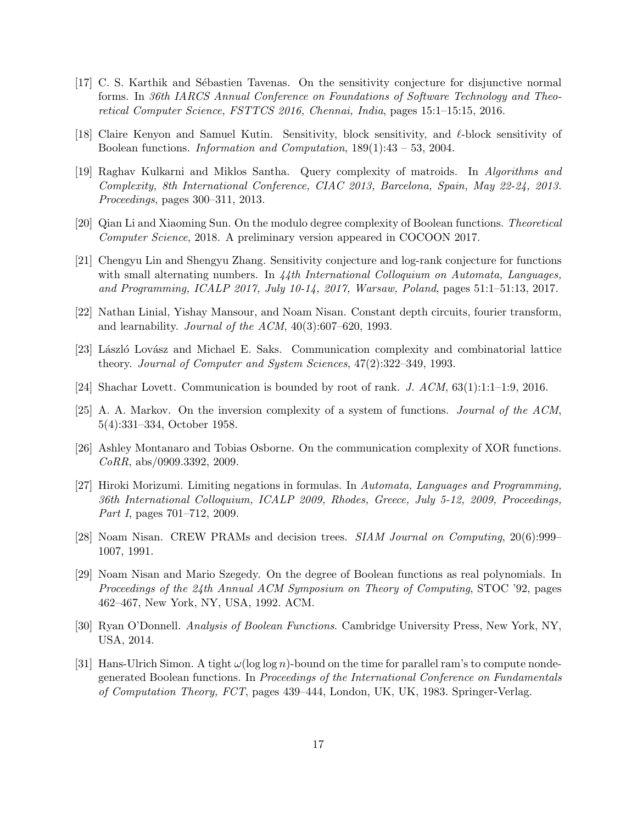- <span id="page-16-4"></span>[17] C. S. Karthik and S´ebastien Tavenas. On the sensitivity conjecture for disjunctive normal forms. In 36th IARCS Annual Conference on Foundations of Software Technology and Theoretical Computer Science, FSTTCS 2016, Chennai, India, pages 15:1–15:15, 2016.
- <span id="page-16-3"></span>[18] Claire Kenyon and Samuel Kutin. Sensitivity, block sensitivity, and  $\ell$ -block sensitivity of Boolean functions. Information and Computation, 189(1):43 – 53, 2004.
- <span id="page-16-8"></span>[19] Raghav Kulkarni and Miklos Santha. Query complexity of matroids. In Algorithms and Complexity, 8th International Conference, CIAC 2013, Barcelona, Spain, May 22-24, 2013. Proceedings, pages 300–311, 2013.
- <span id="page-16-12"></span>[20] Qian Li and Xiaoming Sun. On the modulo degree complexity of Boolean functions. Theoretical Computer Science, 2018. A preliminary version appeared in COCOON 2017.
- <span id="page-16-9"></span>[21] Chengyu Lin and Shengyu Zhang. Sensitivity conjecture and log-rank conjecture for functions with small alternating numbers. In  $44th$  International Colloquium on Automata, Languages, and Programming, ICALP 2017, July 10-14, 2017, Warsaw, Poland, pages 51:1–51:13, 2017.
- <span id="page-16-13"></span>[22] Nathan Linial, Yishay Mansour, and Noam Nisan. Constant depth circuits, fourier transform, and learnability. Journal of the ACM, 40(3):607–620, 1993.
- <span id="page-16-5"></span>[23] László Lovász and Michael E. Saks. Communication complexity and combinatorial lattice theory. Journal of Computer and System Sciences, 47(2):322–349, 1993.
- <span id="page-16-6"></span>[24] Shachar Lovett. Communication is bounded by root of rank. J.  $ACM$ ,  $63(1):1:1-1:9$ ,  $2016$ .
- <span id="page-16-11"></span>[25] A. A. Markov. On the inversion complexity of a system of functions. Journal of the ACM, 5(4):331–334, October 1958.
- <span id="page-16-7"></span>[26] Ashley Montanaro and Tobias Osborne. On the communication complexity of XOR functions. CoRR, abs/0909.3392, 2009.
- <span id="page-16-14"></span>[27] Hiroki Morizumi. Limiting negations in formulas. In Automata, Languages and Programming, 36th International Colloquium, ICALP 2009, Rhodes, Greece, July 5-12, 2009, Proceedings, Part I, pages 701–712, 2009.
- <span id="page-16-1"></span>[28] Noam Nisan. CREW PRAMs and decision trees. SIAM Journal on Computing, 20(6):999– 1007, 1991.
- <span id="page-16-0"></span>[29] Noam Nisan and Mario Szegedy. On the degree of Boolean functions as real polynomials. In Proceedings of the 24th Annual ACM Symposium on Theory of Computing, STOC '92, pages 462–467, New York, NY, USA, 1992. ACM.
- <span id="page-16-10"></span>[30] Ryan O'Donnell. Analysis of Boolean Functions. Cambridge University Press, New York, NY, USA, 2014.
- <span id="page-16-2"></span>[31] Hans-Ulrich Simon. A tight  $\omega(\log \log n)$ -bound on the time for parallel ram's to compute nondegenerated Boolean functions. In Proceedings of the International Conference on Fundamentals of Computation Theory, FCT, pages 439–444, London, UK, UK, 1983. Springer-Verlag.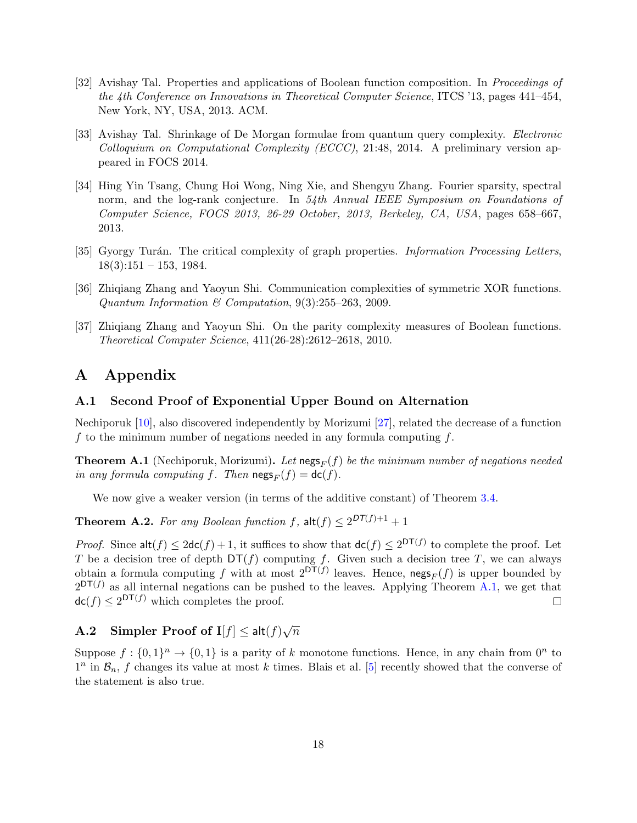- <span id="page-17-0"></span>[32] Avishay Tal. Properties and applications of Boolean function composition. In Proceedings of the 4th Conference on Innovations in Theoretical Computer Science, ITCS '13, pages 441–454, New York, NY, USA, 2013. ACM.
- <span id="page-17-5"></span>[33] Avishay Tal. Shrinkage of De Morgan formulae from quantum query complexity. Electronic Colloquium on Computational Complexity (ECCC), 21:48, 2014. A preliminary version appeared in FOCS 2014.
- <span id="page-17-4"></span>[34] Hing Yin Tsang, Chung Hoi Wong, Ning Xie, and Shengyu Zhang. Fourier sparsity, spectral norm, and the log-rank conjecture. In 54th Annual IEEE Symposium on Foundations of Computer Science, FOCS 2013, 26-29 October, 2013, Berkeley, CA, USA, pages 658–667, 2013.
- <span id="page-17-1"></span>[35] Gyorgy Turán. The critical complexity of graph properties. Information Processing Letters,  $18(3):151 - 153, 1984.$
- <span id="page-17-3"></span>[36] Zhiqiang Zhang and Yaoyun Shi. Communication complexities of symmetric XOR functions. Quantum Information & Computation, 9(3):255–263, 2009.
- <span id="page-17-2"></span>[37] Zhiqiang Zhang and Yaoyun Shi. On the parity complexity measures of Boolean functions. Theoretical Computer Science, 411(26-28):2612–2618, 2010.

## A Appendix

#### <span id="page-17-6"></span>A.1 Second Proof of Exponential Upper Bound on Alternation

Nechiporuk [\[10\]](#page-15-14), also discovered independently by Morizumi [\[27\]](#page-16-14), related the decrease of a function f to the minimum number of negations needed in any formula computing  $f$ .

<span id="page-17-8"></span>**Theorem A.1** (Nechiporuk, Morizumi). Let negs<sub>F</sub>(f) be the minimum number of negations needed in any formula computing f. Then  $\operatorname{negs}_F(f) = \operatorname{dc}(f)$ .

We now give a weaker version (in terms of the additive constant) of Theorem [3.4.](#page-7-0)

**Theorem A.2.** For any Boolean function f,  $\text{alt}(f) \leq 2^{DT(f)+1} + 1$ 

*Proof.* Since  $\mathsf{alt}(f) \leq 2\mathsf{dc}(f) + 1$ , it suffices to show that  $\mathsf{dc}(f) \leq 2^{\mathsf{DT}(f)}$  to complete the proof. Let T be a decision tree of depth  $DT(f)$  computing f. Given such a decision tree T, we can always obtain a formula computing f with at most  $2^{DT(f)}$  leaves. Hence,  $\mathsf{negs}_F(f)$  is upper bounded by  $2^{DT(f)}$  as all internal negations can be pushed to the leaves. Applying Theorem [A.1,](#page-17-8) we get that  $\mathsf{dc}(f) \leq 2^{\mathsf{DT}(f)}$  which completes the proof.  $\Box$ 

#### <span id="page-17-7"></span>**A.2** Simpler Proof of  $I[f] \leq alt(f)$ √  $\overline{n}$

<span id="page-17-9"></span>Suppose  $f: \{0,1\}^n \to \{0,1\}$  is a parity of k monotone functions. Hence, in any chain from  $0^n$  to  $1^n$  in  $\mathcal{B}_n$ , f changes its value at most k times. Blais et al. [\[5\]](#page-15-13) recently showed that the converse of the statement is also true.